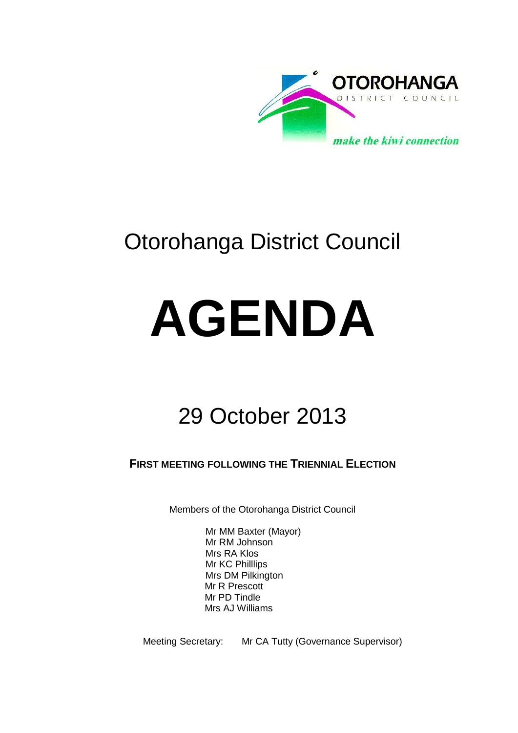

## Otorohanga District Council

# **AGENDA**

## 29 October 2013

**FIRST MEETING FOLLOWING THE TRIENNIAL ELECTION**

Members of the Otorohanga District Council

Mr MM Baxter (Mayor) Mr RM Johnson Mrs RA Klos Mr KC Philllips Mrs DM Pilkington Mr R Prescott Mr PD Tindle Mrs AJ Williams

Meeting Secretary: Mr CA Tutty (Governance Supervisor)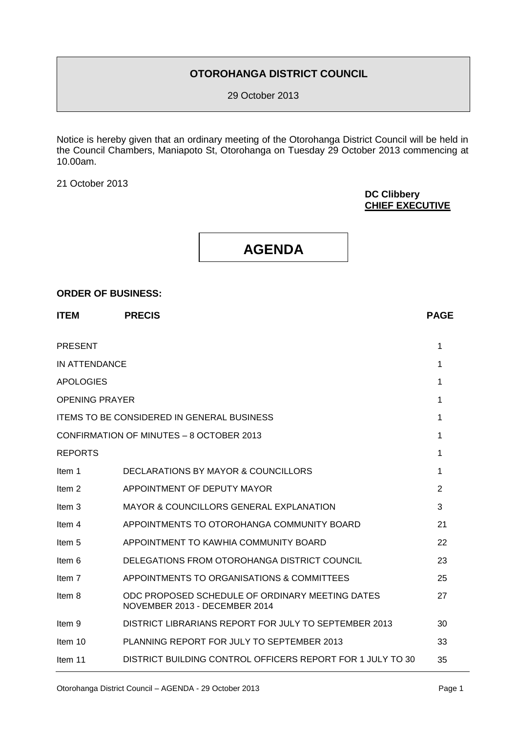#### **OTOROHANGA DISTRICT COUNCIL**

29 October 2013

Notice is hereby given that an ordinary meeting of the Otorohanga District Council will be held in the Council Chambers, Maniapoto St, Otorohanga on Tuesday 29 October 2013 commencing at 10.00am.

21 October 2013

#### **DC Clibbery CHIEF EXECUTIVE**

| <b>AGENDA</b> |
|---------------|
|               |

#### **ORDER OF BUSINESS:**

| <b>PRECIS</b>                                                                    | <b>PAGE</b>    |
|----------------------------------------------------------------------------------|----------------|
|                                                                                  | 1              |
| <b>IN ATTENDANCE</b>                                                             | 1              |
|                                                                                  | 1              |
| <b>OPENING PRAYER</b>                                                            | 1              |
| <b>ITEMS TO BE CONSIDERED IN GENERAL BUSINESS</b>                                | 1              |
| CONFIRMATION OF MINUTES - 8 OCTOBER 2013                                         | 1              |
|                                                                                  | 1              |
| DECLARATIONS BY MAYOR & COUNCILLORS                                              | 1              |
| APPOINTMENT OF DEPUTY MAYOR                                                      | $\overline{2}$ |
| <b>MAYOR &amp; COUNCILLORS GENERAL EXPLANATION</b>                               | 3              |
| APPOINTMENTS TO OTOROHANGA COMMUNITY BOARD                                       | 21             |
| APPOINTMENT TO KAWHIA COMMUNITY BOARD                                            | 22             |
| DELEGATIONS FROM OTOROHANGA DISTRICT COUNCIL                                     | 23             |
| APPOINTMENTS TO ORGANISATIONS & COMMITTEES                                       | 25             |
| ODC PROPOSED SCHEDULE OF ORDINARY MEETING DATES<br>NOVEMBER 2013 - DECEMBER 2014 | 27             |
| DISTRICT LIBRARIANS REPORT FOR JULY TO SEPTEMBER 2013                            | 30             |
| PLANNING REPORT FOR JULY TO SEPTEMBER 2013                                       | 33             |
| DISTRICT BUILDING CONTROL OFFICERS REPORT FOR 1 JULY TO 30                       | 35             |
|                                                                                  |                |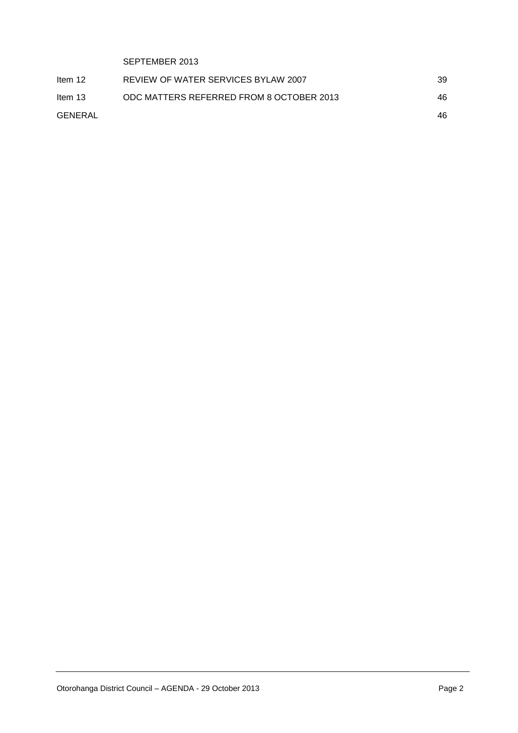| SEPTEMBER 2013                           |    |
|------------------------------------------|----|
| REVIEW OF WATER SERVICES BYLAW 2007      | 39 |
| ODC MATTERS REFERRED FROM 8 OCTOBER 2013 | 46 |
|                                          | 46 |
|                                          |    |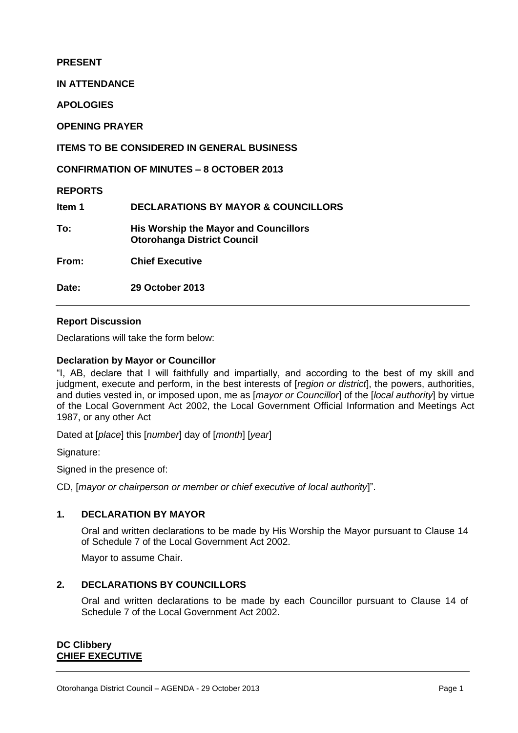**PRESENT**

**IN ATTENDANCE**

**APOLOGIES**

**OPENING PRAYER**

**ITEMS TO BE CONSIDERED IN GENERAL BUSINESS**

**CONFIRMATION OF MINUTES – 8 OCTOBER 2013**

**REPORTS**

**Item 1 DECLARATIONS BY MAYOR & COUNCILLORS**

**To: His Worship the Mayor and Councillors Otorohanga District Council**

**From: Chief Executive**

**Date: 29 October 2013** 

#### **Report Discussion**

Declarations will take the form below:

#### **Declaration by Mayor or Councillor**

"I, AB, declare that I will faithfully and impartially, and according to the best of my skill and judgment, execute and perform, in the best interests of [*region or district*], the powers, authorities, and duties vested in, or imposed upon, me as [*mayor or Councillor*] of the [*local authority*] by virtue of the Local Government Act 2002, the Local Government Official Information and Meetings Act 1987, or any other Act

Dated at [*place*] this [*number*] day of [*month*] [*year*]

Signature:

Signed in the presence of:

CD, [*mayor or chairperson or member or chief executive of local authority*]".

#### **1. DECLARATION BY MAYOR**

Oral and written declarations to be made by His Worship the Mayor pursuant to Clause 14 of Schedule 7 of the Local Government Act 2002.

Mayor to assume Chair.

#### **2. DECLARATIONS BY COUNCILLORS**

Oral and written declarations to be made by each Councillor pursuant to Clause 14 of Schedule 7 of the Local Government Act 2002.

#### **DC Clibbery CHIEF EXECUTIVE**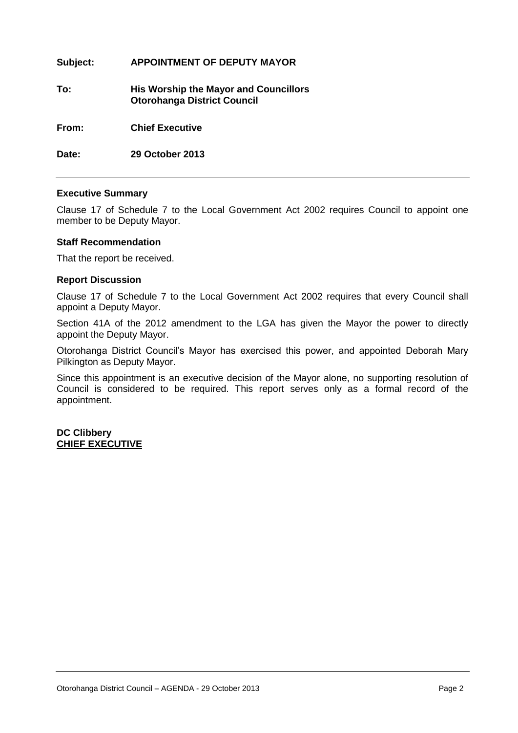| Subject: | <b>APPOINTMENT OF DEPUTY MAYOR</b>                                                 |
|----------|------------------------------------------------------------------------------------|
| To:      | <b>His Worship the Mayor and Councillors</b><br><b>Otorohanga District Council</b> |
| From:    | <b>Chief Executive</b>                                                             |
| Date:    | 29 October 2013                                                                    |

#### **Executive Summary**

Clause 17 of Schedule 7 to the Local Government Act 2002 requires Council to appoint one member to be Deputy Mayor.

#### **Staff Recommendation**

That the report be received.

#### **Report Discussion**

Clause 17 of Schedule 7 to the Local Government Act 2002 requires that every Council shall appoint a Deputy Mayor.

Section 41A of the 2012 amendment to the LGA has given the Mayor the power to directly appoint the Deputy Mayor.

Otorohanga District Council's Mayor has exercised this power, and appointed Deborah Mary Pilkington as Deputy Mayor.

Since this appointment is an executive decision of the Mayor alone, no supporting resolution of Council is considered to be required. This report serves only as a formal record of the appointment.

**DC Clibbery CHIEF EXECUTIVE**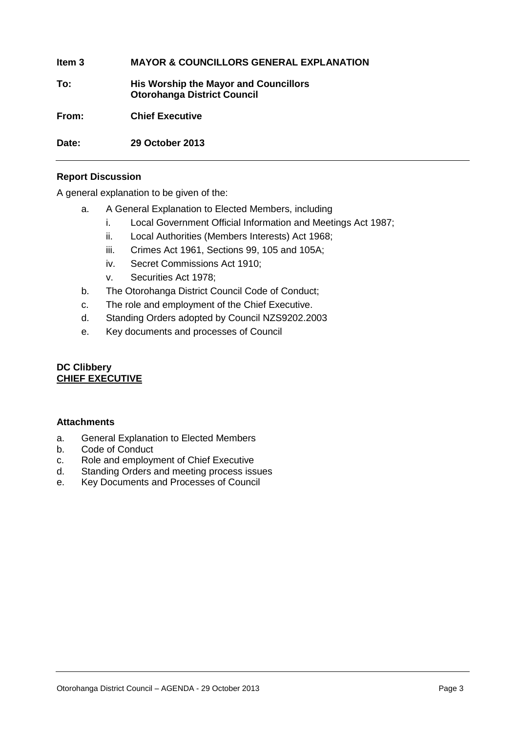**Item 3 MAYOR & COUNCILLORS GENERAL EXPLANATION**

**To: His Worship the Mayor and Councillors Otorohanga District Council**

**From: Chief Executive**

**Date: 29 October 2013** 

#### **Report Discussion**

A general explanation to be given of the:

- a. A General Explanation to Elected Members, including
	- i. Local Government Official Information and Meetings Act 1987;
	- ii. Local Authorities (Members Interests) Act 1968;
	- iii. Crimes Act 1961, Sections 99, 105 and 105A;
	- iv. Secret Commissions Act 1910;
	- v. Securities Act 1978;
- b. The Otorohanga District Council Code of Conduct;
- c. The role and employment of the Chief Executive.
- d. Standing Orders adopted by Council NZS9202.2003
- e. Key documents and processes of Council

#### **DC Clibbery CHIEF EXECUTIVE**

#### **Attachments**

- a. General Explanation to Elected Members
- b. Code of Conduct
- c. Role and employment of Chief Executive
- d. Standing Orders and meeting process issues
- e. Key Documents and Processes of Council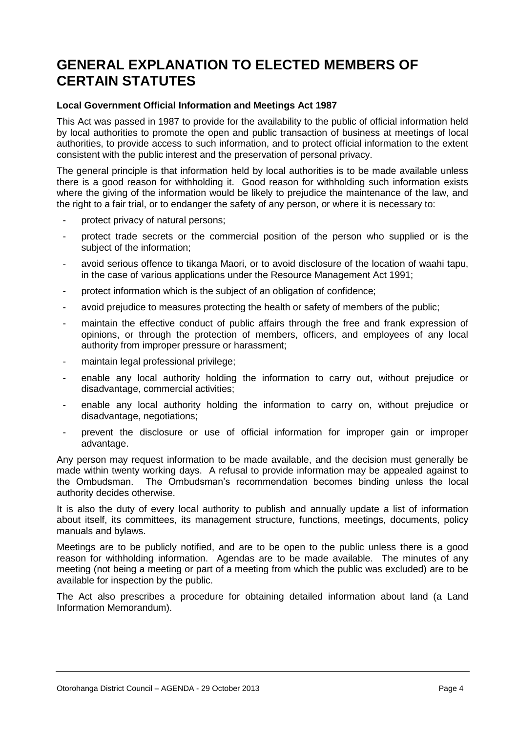### **GENERAL EXPLANATION TO ELECTED MEMBERS OF CERTAIN STATUTES**

#### **Local Government Official Information and Meetings Act 1987**

This Act was passed in 1987 to provide for the availability to the public of official information held by local authorities to promote the open and public transaction of business at meetings of local authorities, to provide access to such information, and to protect official information to the extent consistent with the public interest and the preservation of personal privacy.

The general principle is that information held by local authorities is to be made available unless there is a good reason for withholding it. Good reason for withholding such information exists where the giving of the information would be likely to prejudice the maintenance of the law, and the right to a fair trial, or to endanger the safety of any person, or where it is necessary to:

- protect privacy of natural persons:
- protect trade secrets or the commercial position of the person who supplied or is the subject of the information;
- avoid serious offence to tikanga Maori, or to avoid disclosure of the location of waahi tapu, in the case of various applications under the Resource Management Act 1991;
- protect information which is the subject of an obligation of confidence;
- avoid prejudice to measures protecting the health or safety of members of the public;
- maintain the effective conduct of public affairs through the free and frank expression of opinions, or through the protection of members, officers, and employees of any local authority from improper pressure or harassment;
- maintain legal professional privilege;
- enable any local authority holding the information to carry out, without prejudice or disadvantage, commercial activities;
- enable any local authority holding the information to carry on, without prejudice or disadvantage, negotiations;
- prevent the disclosure or use of official information for improper gain or improper advantage.

Any person may request information to be made available, and the decision must generally be made within twenty working days. A refusal to provide information may be appealed against to the Ombudsman. The Ombudsman's recommendation becomes binding unless the local authority decides otherwise.

It is also the duty of every local authority to publish and annually update a list of information about itself, its committees, its management structure, functions, meetings, documents, policy manuals and bylaws.

Meetings are to be publicly notified, and are to be open to the public unless there is a good reason for withholding information. Agendas are to be made available. The minutes of any meeting (not being a meeting or part of a meeting from which the public was excluded) are to be available for inspection by the public.

The Act also prescribes a procedure for obtaining detailed information about land (a Land Information Memorandum).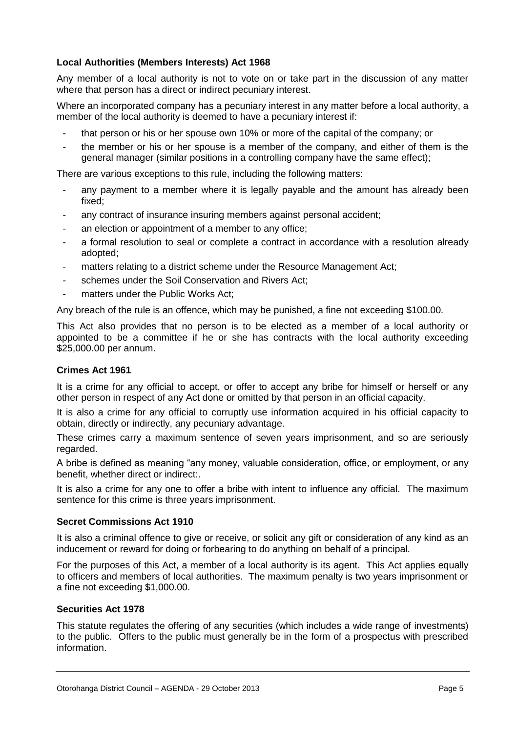#### **Local Authorities (Members Interests) Act 1968**

Any member of a local authority is not to vote on or take part in the discussion of any matter where that person has a direct or indirect pecuniary interest.

Where an incorporated company has a pecuniary interest in any matter before a local authority, a member of the local authority is deemed to have a pecuniary interest if:

- that person or his or her spouse own 10% or more of the capital of the company; or
- the member or his or her spouse is a member of the company, and either of them is the general manager (similar positions in a controlling company have the same effect);

There are various exceptions to this rule, including the following matters:

- any payment to a member where it is legally payable and the amount has already been fixed;
- any contract of insurance insuring members against personal accident;
- an election or appointment of a member to any office;
- a formal resolution to seal or complete a contract in accordance with a resolution already adopted;
- matters relating to a district scheme under the Resource Management Act;
- schemes under the Soil Conservation and Rivers Act;
- matters under the Public Works Act:

Any breach of the rule is an offence, which may be punished, a fine not exceeding \$100.00.

This Act also provides that no person is to be elected as a member of a local authority or appointed to be a committee if he or she has contracts with the local authority exceeding \$25,000.00 per annum.

#### **Crimes Act 1961**

It is a crime for any official to accept, or offer to accept any bribe for himself or herself or any other person in respect of any Act done or omitted by that person in an official capacity.

It is also a crime for any official to corruptly use information acquired in his official capacity to obtain, directly or indirectly, any pecuniary advantage.

These crimes carry a maximum sentence of seven years imprisonment, and so are seriously regarded.

A bribe is defined as meaning "any money, valuable consideration, office, or employment, or any benefit, whether direct or indirect:.

It is also a crime for any one to offer a bribe with intent to influence any official. The maximum sentence for this crime is three years imprisonment.

#### **Secret Commissions Act 1910**

It is also a criminal offence to give or receive, or solicit any gift or consideration of any kind as an inducement or reward for doing or forbearing to do anything on behalf of a principal.

For the purposes of this Act, a member of a local authority is its agent. This Act applies equally to officers and members of local authorities. The maximum penalty is two years imprisonment or a fine not exceeding \$1,000.00.

#### **Securities Act 1978**

This statute regulates the offering of any securities (which includes a wide range of investments) to the public. Offers to the public must generally be in the form of a prospectus with prescribed information.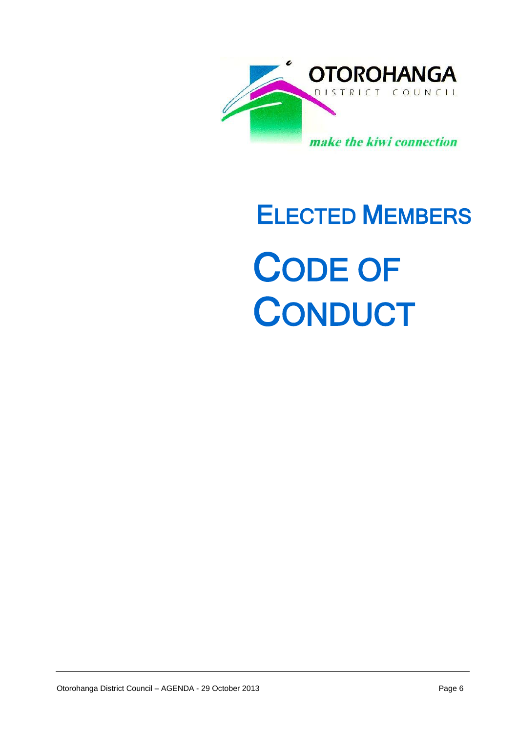

# ELECTED MEMBERS CODE OF **CONDUCT**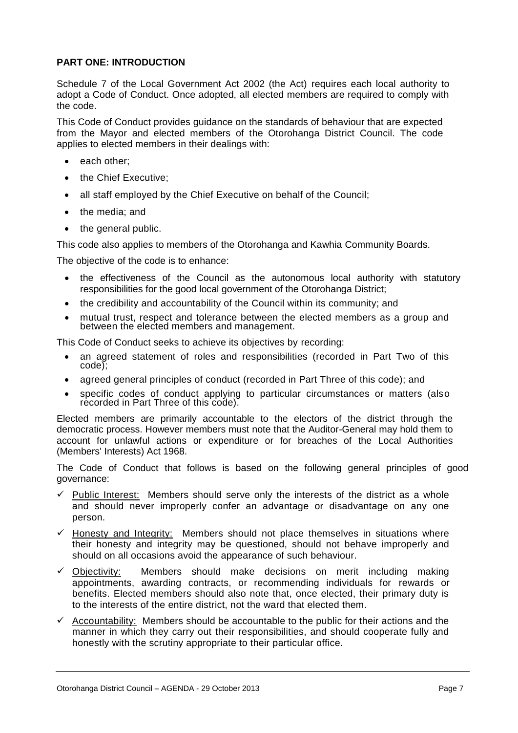#### **PART ONE: INTRODUCTION**

Schedule 7 of the Local Government Act 2002 (the Act) requires each local authority to adopt a Code of Conduct. Once adopted, all elected members are required to comply with the code.

This Code of Conduct provides guidance on the standards of behaviour that are expected from the Mayor and elected members of the Otorohanga District Council. The code applies to elected members in their dealings with:

- each other:
- the Chief Executive;
- all staff employed by the Chief Executive on behalf of the Council;
- the media: and
- the general public.

This code also applies to members of the Otorohanga and Kawhia Community Boards.

The objective of the code is to enhance:

- the effectiveness of the Council as the autonomous local authority with statutory responsibilities for the good local government of the Otorohanga District;
- the credibility and accountability of the Council within its community; and
- mutual trust, respect and tolerance between the elected members as a group and between the elected members and management.

This Code of Conduct seeks to achieve its objectives by recording:

- an agreed statement of roles and responsibilities (recorded in Part Two of this code);
- agreed general principles of conduct (recorded in Part Three of this code); and
- specific codes of conduct applying to particular circumstances or matters (also recorded in Part Three of this code).

Elected members are primarily accountable to the electors of the district through the democratic process. However members must note that the Auditor-General may hold them to account for unlawful actions or expenditure or for breaches of the Local Authorities (Members' Interests) Act 1968.

The Code of Conduct that follows is based on the following general principles of good governance:

- $\checkmark$  Public Interest: Members should serve only the interests of the district as a whole and should never improperly confer an advantage or disadvantage on any one person.
- $\checkmark$  Honesty and Integrity: Members should not place themselves in situations where their honesty and integrity may be questioned, should not behave improperly and should on all occasions avoid the appearance of such behaviour.
- $\checkmark$  Objectivity: Members should make decisions on merit including making appointments, awarding contracts, or recommending individuals for rewards or benefits. Elected members should also note that, once elected, their primary duty is to the interests of the entire district, not the ward that elected them.
- $\checkmark$  Accountability: Members should be accountable to the public for their actions and the manner in which they carry out their responsibilities, and should cooperate fully and honestly with the scrutiny appropriate to their particular office.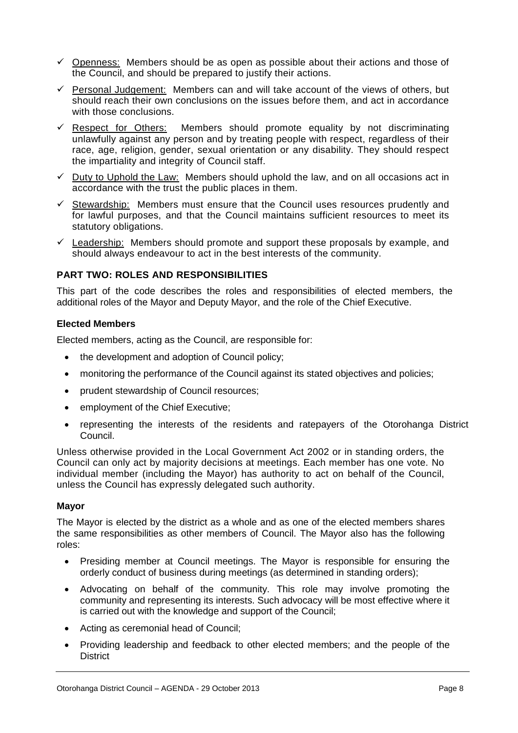- $\checkmark$  Openness: Members should be as open as possible about their actions and those of the Council, and should be prepared to justify their actions.
- $\checkmark$  Personal Judgement: Members can and will take account of the views of others, but should reach their own conclusions on the issues before them, and act in accordance with those conclusions.
- $\checkmark$  Respect for Others: Members should promote equality by not discriminating unlawfully against any person and by treating people with respect, regardless of their race, age, religion, gender, sexual orientation or any disability. They should respect the impartiality and integrity of Council staff.
- $\checkmark$  Duty to Uphold the Law: Members should uphold the law, and on all occasions act in accordance with the trust the public places in them.
- $\checkmark$  Stewardship: Members must ensure that the Council uses resources prudently and for lawful purposes, and that the Council maintains sufficient resources to meet its statutory obligations.
- $\checkmark$  Leadership: Members should promote and support these proposals by example, and should always endeavour to act in the best interests of the community.

#### **PART TWO: ROLES AND RESPONSIBILITIES**

This part of the code describes the roles and responsibilities of elected members, the additional roles of the Mayor and Deputy Mayor, and the role of the Chief Executive.

#### **Elected Members**

Elected members, acting as the Council, are responsible for:

- the development and adoption of Council policy;
- monitoring the performance of the Council against its stated objectives and policies;
- prudent stewardship of Council resources;
- employment of the Chief Executive;
- representing the interests of the residents and ratepayers of the Otorohanga District Council.

Unless otherwise provided in the Local Government Act 2002 or in standing orders, the Council can only act by majority decisions at meetings. Each member has one vote. No individual member (including the Mayor) has authority to act on behalf of the Council, unless the Council has expressly delegated such authority.

#### **Mayor**

The Mayor is elected by the district as a whole and as one of the elected members shares the same responsibilities as other members of Council. The Mayor also has the following roles:

- Presiding member at Council meetings. The Mayor is responsible for ensuring the orderly conduct of business during meetings (as determined in standing orders);
- Advocating on behalf of the community. This role may involve promoting the community and representing its interests. Such advocacy will be most effective where it is carried out with the knowledge and support of the Council;
- Acting as ceremonial head of Council;
- Providing leadership and feedback to other elected members; and the people of the **District**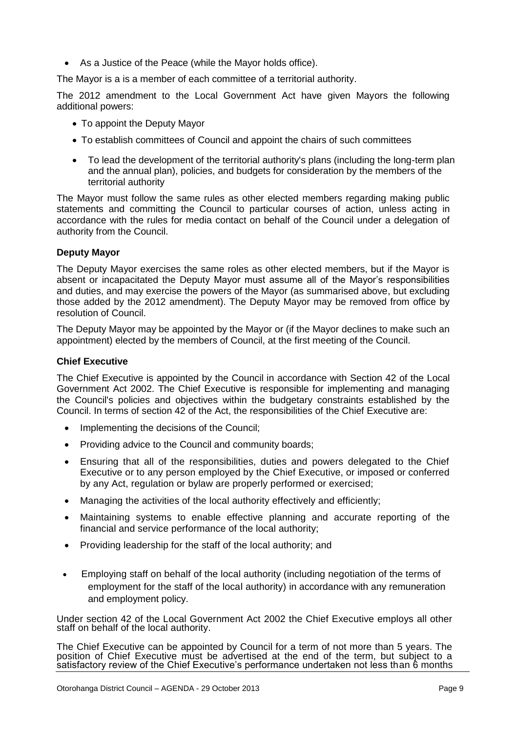As a Justice of the Peace (while the Mayor holds office).

The Mayor is a is a member of each committee of a territorial authority.

The 2012 amendment to the Local Government Act have given Mayors the following additional powers:

- To appoint the Deputy Mayor
- To establish committees of Council and appoint the chairs of such committees
- To lead the development of the territorial authority's plans (including the long-term plan and the annual plan), policies, and budgets for consideration by the members of the territorial authority

The Mayor must follow the same rules as other elected members regarding making public statements and committing the Council to particular courses of action, unless acting in accordance with the rules for media contact on behalf of the Council under a delegation of authority from the Council.

#### **Deputy Mayor**

The Deputy Mayor exercises the same roles as other elected members, but if the Mayor is absent or incapacitated the Deputy Mayor must assume all of the Mayor's responsibilities and duties, and may exercise the powers of the Mayor (as summarised above, but excluding those added by the 2012 amendment). The Deputy Mayor may be removed from office by resolution of Council.

The Deputy Mayor may be appointed by the Mayor or (if the Mayor declines to make such an appointment) elected by the members of Council, at the first meeting of the Council.

#### **Chief Executive**

The Chief Executive is appointed by the Council in accordance with Section 42 of the Local Government Act 2002. The Chief Executive is responsible for implementing and managing the Council's policies and objectives within the budgetary constraints established by the Council. In terms of section 42 of the Act, the responsibilities of the Chief Executive are:

- Implementing the decisions of the Council;
- Providing advice to the Council and community boards:
- Ensuring that all of the responsibilities, duties and powers delegated to the Chief Executive or to any person employed by the Chief Executive, or imposed or conferred by any Act, regulation or bylaw are properly performed or exercised;
- Managing the activities of the local authority effectively and efficiently;
- Maintaining systems to enable effective planning and accurate reporting of the financial and service performance of the local authority;
- Providing leadership for the staff of the local authority; and
- Employing staff on behalf of the local authority (including negotiation of the terms of employment for the staff of the local authority) in accordance with any remuneration and employment policy.

Under section 42 of the Local Government Act 2002 the Chief Executive employs all other staff on behalf of the local authority.

The Chief Executive can be appointed by Council for a term of not more than 5 years. The position of Chief Executive must be advertised at the end of the term, but subject to a satisfactory review of the Chief Executive's performance undertaken not less than 6 months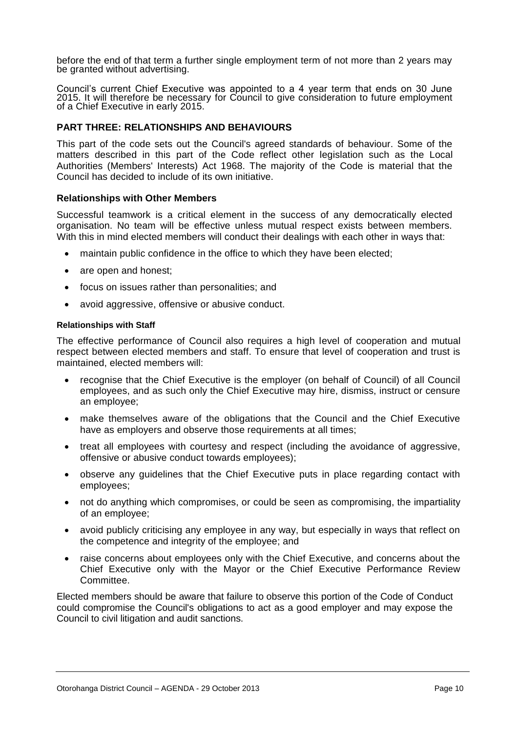before the end of that term a further single employment term of not more than 2 years may be granted without advertising.

Council's current Chief Executive was appointed to a 4 year term that ends on 30 June 2015. It will therefore be necessary for Council to give consideration to future employment of a Chief Executive in early 2015.

#### **PART THREE: RELATIONSHIPS AND BEHAVIOURS**

This part of the code sets out the Council's agreed standards of behaviour. Some of the matters described in this part of the Code reflect other legislation such as the Local Authorities (Members' Interests) Act 1968. The majority of the Code is material that the Council has decided to include of its own initiative.

#### **Relationships with Other Members**

Successful teamwork is a critical element in the success of any democratically elected organisation. No team will be effective unless mutual respect exists between members. With this in mind elected members will conduct their dealings with each other in ways that:

- maintain public confidence in the office to which they have been elected;
- are open and honest;
- focus on issues rather than personalities; and
- avoid aggressive, offensive or abusive conduct.

#### **Relationships with Staff**

The effective performance of Council also requires a high level of cooperation and mutual respect between elected members and staff. To ensure that level of cooperation and trust is maintained, elected members will:

- recognise that the Chief Executive is the employer (on behalf of Council) of all Council employees, and as such only the Chief Executive may hire, dismiss, instruct or censure an employee;
- make themselves aware of the obligations that the Council and the Chief Executive have as employers and observe those requirements at all times;
- treat all employees with courtesy and respect (including the avoidance of aggressive, offensive or abusive conduct towards employees);
- observe any guidelines that the Chief Executive puts in place regarding contact with employees;
- not do anything which compromises, or could be seen as compromising, the impartiality of an employee;
- avoid publicly criticising any employee in any way, but especially in ways that reflect on the competence and integrity of the employee; and
- raise concerns about employees only with the Chief Executive, and concerns about the Chief Executive only with the Mayor or the Chief Executive Performance Review Committee.

Elected members should be aware that failure to observe this portion of the Code of Conduct could compromise the Council's obligations to act as a good employer and may expose the Council to civil litigation and audit sanctions.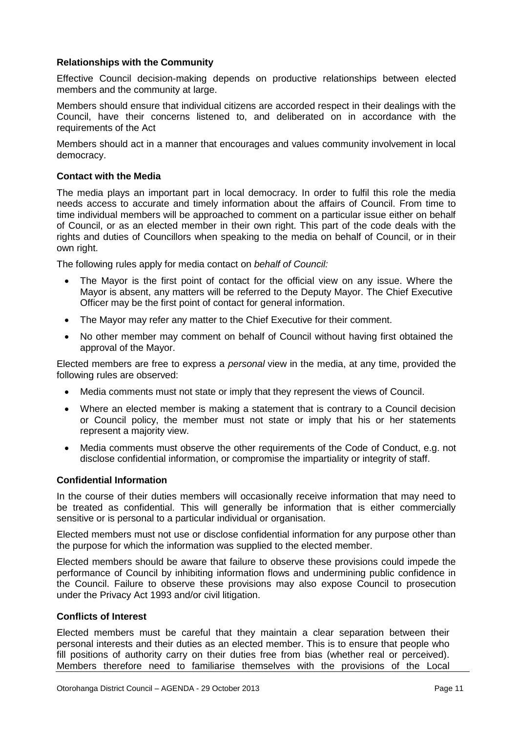#### **Relationships with the Community**

Effective Council decision-making depends on productive relationships between elected members and the community at large.

Members should ensure that individual citizens are accorded respect in their dealings with the Council, have their concerns listened to, and deliberated on in accordance with the requirements of the Act

Members should act in a manner that encourages and values community involvement in local democracy.

#### **Contact with the Media**

The media plays an important part in local democracy. In order to fulfil this role the media needs access to accurate and timely information about the affairs of Council. From time to time individual members will be approached to comment on a particular issue either on behalf of Council, or as an elected member in their own right. This part of the code deals with the rights and duties of Councillors when speaking to the media on behalf of Council, or in their own right.

The following rules apply for media contact on *behalf of Council:*

- The Mayor is the first point of contact for the official view on any issue. Where the Mayor is absent, any matters will be referred to the Deputy Mayor. The Chief Executive Officer may be the first point of contact for general information.
- The Mayor may refer any matter to the Chief Executive for their comment.
- No other member may comment on behalf of Council without having first obtained the approval of the Mayor.

Elected members are free to express a *personal* view in the media, at any time, provided the following rules are observed:

- Media comments must not state or imply that they represent the views of Council.
- Where an elected member is making a statement that is contrary to a Council decision or Council policy, the member must not state or imply that his or her statements represent a majority view.
- Media comments must observe the other requirements of the Code of Conduct, e.g. not disclose confidential information, or compromise the impartiality or integrity of staff.

#### **Confidential Information**

In the course of their duties members will occasionally receive information that may need to be treated as confidential. This will generally be information that is either commercially sensitive or is personal to a particular individual or organisation.

Elected members must not use or disclose confidential information for any purpose other than the purpose for which the information was supplied to the elected member.

Elected members should be aware that failure to observe these provisions could impede the performance of Council by inhibiting information flows and undermining public confidence in the Council. Failure to observe these provisions may also expose Council to prosecution under the Privacy Act 1993 and/or civil litigation.

#### **Conflicts of Interest**

Elected members must be careful that they maintain a clear separation between their personal interests and their duties as an elected member. This is to ensure that people who fill positions of authority carry on their duties free from bias (whether real or perceived). Members therefore need to familiarise themselves with the provisions of the Local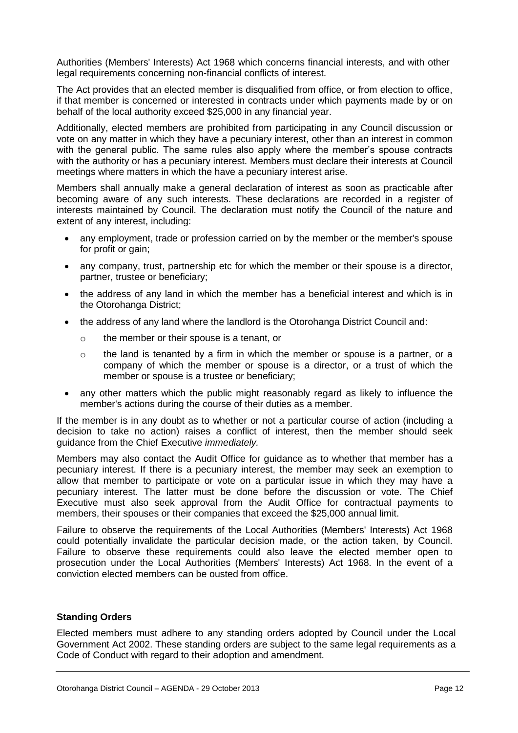Authorities (Members' Interests) Act 1968 which concerns financial interests, and with other legal requirements concerning non-financial conflicts of interest.

The Act provides that an elected member is disqualified from office, or from election to office, if that member is concerned or interested in contracts under which payments made by or on behalf of the local authority exceed \$25,000 in any financial year.

Additionally, elected members are prohibited from participating in any Council discussion or vote on any matter in which they have a pecuniary interest, other than an interest in common with the general public. The same rules also apply where the member's spouse contracts with the authority or has a pecuniary interest. Members must declare their interests at Council meetings where matters in which the have a pecuniary interest arise.

Members shall annually make a general declaration of interest as soon as practicable after becoming aware of any such interests. These declarations are recorded in a register of interests maintained by Council. The declaration must notify the Council of the nature and extent of any interest, including:

- any employment, trade or profession carried on by the member or the member's spouse for profit or gain;
- any company, trust, partnership etc for which the member or their spouse is a director, partner, trustee or beneficiary;
- the address of any land in which the member has a beneficial interest and which is in the Otorohanga District;
- the address of any land where the landlord is the Otorohanga District Council and:
	- o the member or their spouse is a tenant, or
	- $\circ$  the land is tenanted by a firm in which the member or spouse is a partner, or a company of which the member or spouse is a director, or a trust of which the member or spouse is a trustee or beneficiary;
- any other matters which the public might reasonably regard as likely to influence the member's actions during the course of their duties as a member.

If the member is in any doubt as to whether or not a particular course of action (including a decision to take no action) raises a conflict of interest, then the member should seek guidance from the Chief Executive *immediately.*

Members may also contact the Audit Office for guidance as to whether that member has a pecuniary interest. If there is a pecuniary interest, the member may seek an exemption to allow that member to participate or vote on a particular issue in which they may have a pecuniary interest. The latter must be done before the discussion or vote. The Chief Executive must also seek approval from the Audit Office for contractual payments to members, their spouses or their companies that exceed the \$25,000 annual limit.

Failure to observe the requirements of the Local Authorities (Members' Interests) Act 1968 could potentially invalidate the particular decision made, or the action taken, by Council. Failure to observe these requirements could also leave the elected member open to prosecution under the Local Authorities (Members' Interests) Act 1968. In the event of a conviction elected members can be ousted from office.

#### **Standing Orders**

Elected members must adhere to any standing orders adopted by Council under the Local Government Act 2002. These standing orders are subject to the same legal requirements as a Code of Conduct with regard to their adoption and amendment.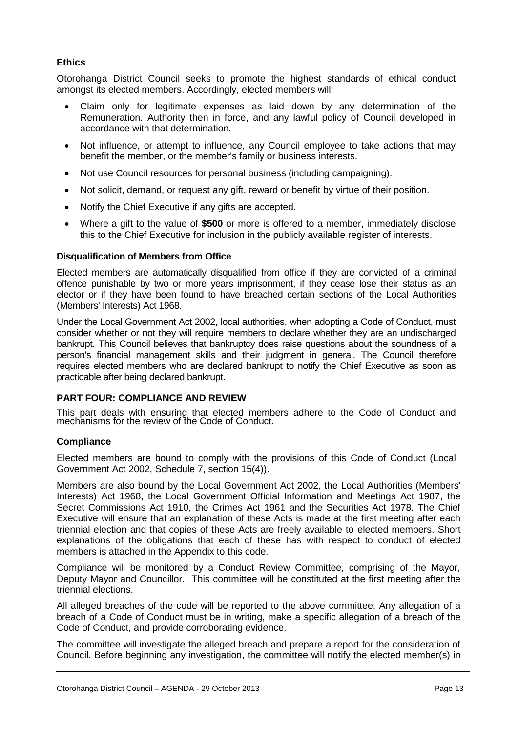#### **Ethics**

Otorohanga District Council seeks to promote the highest standards of ethical conduct amongst its elected members. Accordingly, elected members will:

- Claim only for legitimate expenses as laid down by any determination of the Remuneration. Authority then in force, and any lawful policy of Council developed in accordance with that determination.
- Not influence, or attempt to influence, any Council employee to take actions that may benefit the member, or the member's family or business interests.
- Not use Council resources for personal business (including campaigning).
- Not solicit, demand, or request any gift, reward or benefit by virtue of their position.
- Notify the Chief Executive if any gifts are accepted.
- Where a gift to the value of **\$500** or more is offered to a member, immediately disclose this to the Chief Executive for inclusion in the publicly available register of interests.

#### **Disqualification of Members from Office**

Elected members are automatically disqualified from office if they are convicted of a criminal offence punishable by two or more years imprisonment, if they cease lose their status as an elector or if they have been found to have breached certain sections of the Local Authorities (Members' Interests) Act 1968.

Under the Local Government Act 2002, local authorities, when adopting a Code of Conduct, must consider whether or not they will require members to declare whether they are an undischarged bankrupt. This Council believes that bankruptcy does raise questions about the soundness of a person's financial management skills and their judgment in general. The Council therefore requires elected members who are declared bankrupt to notify the Chief Executive as soon as practicable after being declared bankrupt.

#### **PART FOUR: COMPLIANCE AND REVIEW**

This part deals with ensuring that elected members adhere to the Code of Conduct and mechanisms for the review of the Code of Conduct.

#### **Compliance**

Elected members are bound to comply with the provisions of this Code of Conduct (Local Government Act 2002, Schedule 7, section 15(4)).

Members are also bound by the Local Government Act 2002, the Local Authorities (Members' Interests) Act 1968, the Local Government Official Information and Meetings Act 1987, the Secret Commissions Act 1910, the Crimes Act 1961 and the Securities Act 1978. The Chief Executive will ensure that an explanation of these Acts is made at the first meeting after each triennial election and that copies of these Acts are freely available to elected members. Short explanations of the obligations that each of these has with respect to conduct of elected members is attached in the Appendix to this code.

Compliance will be monitored by a Conduct Review Committee, comprising of the Mayor, Deputy Mayor and Councillor. This committee will be constituted at the first meeting after the triennial elections.

All alleged breaches of the code will be reported to the above committee. Any allegation of a breach of a Code of Conduct must be in writing, make a specific allegation of a breach of the Code of Conduct, and provide corroborating evidence.

The committee will investigate the alleged breach and prepare a report for the consideration of Council. Before beginning any investigation, the committee will notify the elected member(s) in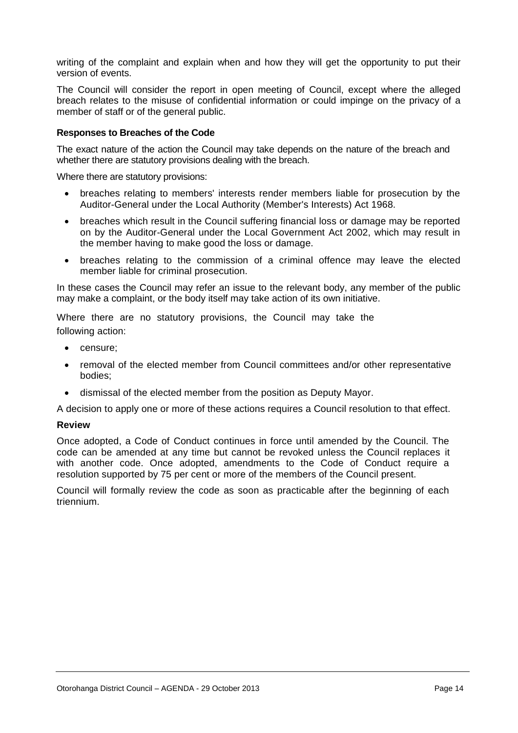writing of the complaint and explain when and how they will get the opportunity to put their version of events.

The Council will consider the report in open meeting of Council, except where the alleged breach relates to the misuse of confidential information or could impinge on the privacy of a member of staff or of the general public.

#### **Responses to Breaches of the Code**

The exact nature of the action the Council may take depends on the nature of the breach and whether there are statutory provisions dealing with the breach.

Where there are statutory provisions:

- breaches relating to members' interests render members liable for prosecution by the Auditor-General under the Local Authority (Member's Interests) Act 1968.
- breaches which result in the Council suffering financial loss or damage may be reported on by the Auditor-General under the Local Government Act 2002, which may result in the member having to make good the loss or damage.
- breaches relating to the commission of a criminal offence may leave the elected member liable for criminal prosecution.

In these cases the Council may refer an issue to the relevant body, any member of the public may make a complaint, or the body itself may take action of its own initiative.

Where there are no statutory provisions, the Council may take the following action:

- censure;
- removal of the elected member from Council committees and/or other representative bodies;
- dismissal of the elected member from the position as Deputy Mayor.

A decision to apply one or more of these actions requires a Council resolution to that effect.

#### **Review**

Once adopted, a Code of Conduct continues in force until amended by the Council. The code can be amended at any time but cannot be revoked unless the Council replaces it with another code. Once adopted, amendments to the Code of Conduct require a resolution supported by 75 per cent or more of the members of the Council present.

Council will formally review the code as soon as practicable after the beginning of each triennium.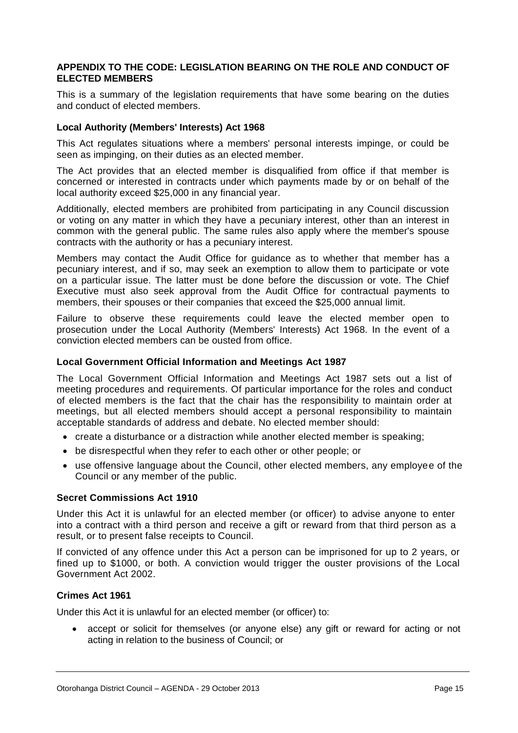#### **APPENDIX TO THE CODE: LEGISLATION BEARING ON THE ROLE AND CONDUCT OF ELECTED MEMBERS**

This is a summary of the legislation requirements that have some bearing on the duties and conduct of elected members.

#### **Local Authority (Members' Interests) Act 1968**

This Act regulates situations where a members' personal interests impinge, or could be seen as impinging, on their duties as an elected member.

The Act provides that an elected member is disqualified from office if that member is concerned or interested in contracts under which payments made by or on behalf of the local authority exceed \$25,000 in any financial year.

Additionally, elected members are prohibited from participating in any Council discussion or voting on any matter in which they have a pecuniary interest, other than an interest in common with the general public. The same rules also apply where the member's spouse contracts with the authority or has a pecuniary interest.

Members may contact the Audit Office for guidance as to whether that member has a pecuniary interest, and if so, may seek an exemption to allow them to participate or vote on a particular issue. The latter must be done before the discussion or vote. The Chief Executive must also seek approval from the Audit Office for contractual payments to members, their spouses or their companies that exceed the \$25,000 annual limit.

Failure to observe these requirements could leave the elected member open to prosecution under the Local Authority (Members' Interests) Act 1968. In the event of a conviction elected members can be ousted from office.

#### **Local Government Official Information and Meetings Act 1987**

The Local Government Official Information and Meetings Act 1987 sets out a list of meeting procedures and requirements. Of particular importance for the roles and conduct of elected members is the fact that the chair has the responsibility to maintain order at meetings, but all elected members should accept a personal responsibility to maintain acceptable standards of address and debate. No elected member should:

- create a disturbance or a distraction while another elected member is speaking;
- be disrespectful when they refer to each other or other people; or
- use offensive language about the Council, other elected members, any employee of the Council or any member of the public.

#### **Secret Commissions Act 1910**

Under this Act it is unlawful for an elected member (or officer) to advise anyone to enter into a contract with a third person and receive a gift or reward from that third person as a result, or to present false receipts to Council.

If convicted of any offence under this Act a person can be imprisoned for up to 2 years, or fined up to \$1000, or both. A conviction would trigger the ouster provisions of the Local Government Act 2002.

#### **Crimes Act 1961**

Under this Act it is unlawful for an elected member (or officer) to:

 accept or solicit for themselves (or anyone else) any gift or reward for acting or not acting in relation to the business of Council; or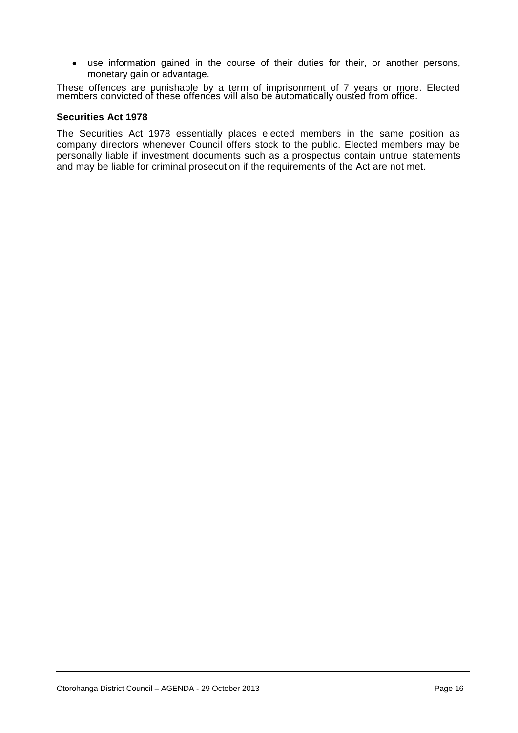use information gained in the course of their duties for their, or another persons, monetary gain or advantage.

These offences are punishable by a term of imprisonment of 7 years or more. Elected members convicted of these offences will also be automatically ousted from office.

#### **Securities Act 1978**

The Securities Act 1978 essentially places elected members in the same position as company directors whenever Council offers stock to the public. Elected members may be personally liable if investment documents such as a prospectus contain untrue statements and may be liable for criminal prosecution if the requirements of the Act are not met.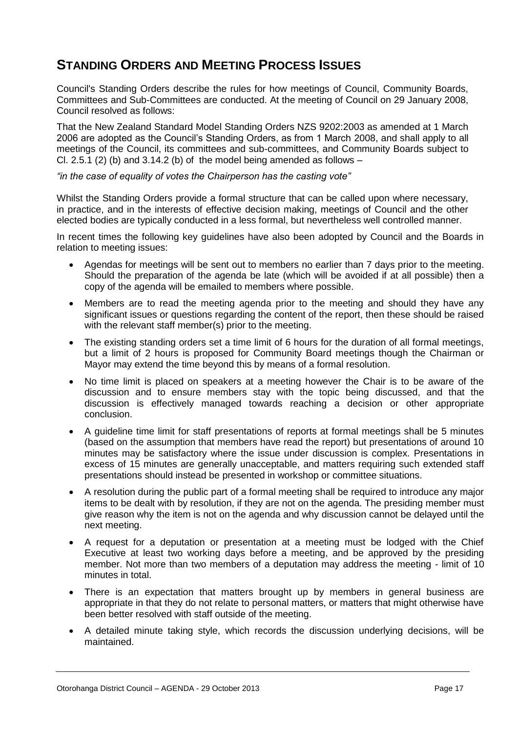#### **STANDING ORDERS AND MEETING PROCESS ISSUES**

Council's Standing Orders describe the rules for how meetings of Council, Community Boards, Committees and Sub-Committees are conducted. At the meeting of Council on 29 January 2008, Council resolved as follows:

That the New Zealand Standard Model Standing Orders NZS 9202:2003 as amended at 1 March 2006 are adopted as the Council's Standing Orders, as from 1 March 2008, and shall apply to all meetings of the Council, its committees and sub-committees, and Community Boards subject to Cl. 2.5.1 (2) (b) and 3.14.2 (b) of the model being amended as follows  $-$ 

*"in the case of equality of votes the Chairperson has the casting vote"*

Whilst the Standing Orders provide a formal structure that can be called upon where necessary, in practice, and in the interests of effective decision making, meetings of Council and the other elected bodies are typically conducted in a less formal, but nevertheless well controlled manner.

In recent times the following key guidelines have also been adopted by Council and the Boards in relation to meeting issues:

- Agendas for meetings will be sent out to members no earlier than 7 days prior to the meeting. Should the preparation of the agenda be late (which will be avoided if at all possible) then a copy of the agenda will be emailed to members where possible.
- Members are to read the meeting agenda prior to the meeting and should they have any significant issues or questions regarding the content of the report, then these should be raised with the relevant staff member(s) prior to the meeting.
- The existing standing orders set a time limit of 6 hours for the duration of all formal meetings, but a limit of 2 hours is proposed for Community Board meetings though the Chairman or Mayor may extend the time beyond this by means of a formal resolution.
- No time limit is placed on speakers at a meeting however the Chair is to be aware of the discussion and to ensure members stay with the topic being discussed, and that the discussion is effectively managed towards reaching a decision or other appropriate conclusion.
- A guideline time limit for staff presentations of reports at formal meetings shall be 5 minutes (based on the assumption that members have read the report) but presentations of around 10 minutes may be satisfactory where the issue under discussion is complex. Presentations in excess of 15 minutes are generally unacceptable, and matters requiring such extended staff presentations should instead be presented in workshop or committee situations.
- A resolution during the public part of a formal meeting shall be required to introduce any major items to be dealt with by resolution, if they are not on the agenda. The presiding member must give reason why the item is not on the agenda and why discussion cannot be delayed until the next meeting.
- A request for a deputation or presentation at a meeting must be lodged with the Chief Executive at least two working days before a meeting, and be approved by the presiding member. Not more than two members of a deputation may address the meeting - limit of 10 minutes in total.
- There is an expectation that matters brought up by members in general business are appropriate in that they do not relate to personal matters, or matters that might otherwise have been better resolved with staff outside of the meeting.
- A detailed minute taking style, which records the discussion underlying decisions, will be maintained.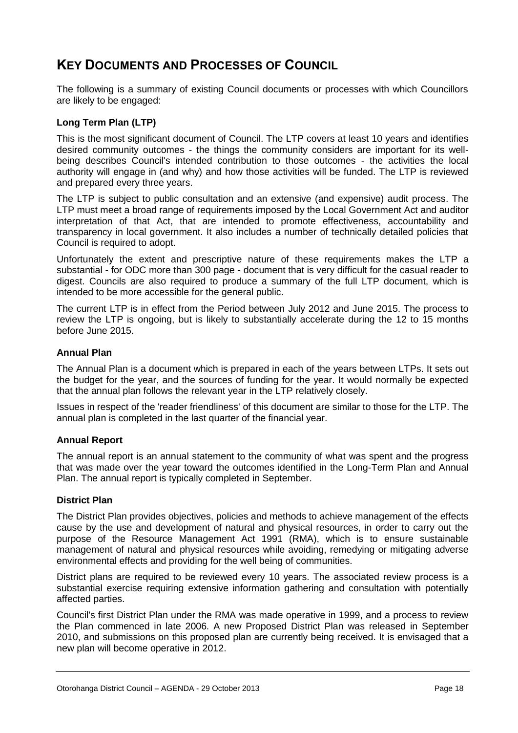#### **KEY DOCUMENTS AND PROCESSES OF COUNCIL**

The following is a summary of existing Council documents or processes with which Councillors are likely to be engaged:

#### **Long Term Plan (LTP)**

This is the most significant document of Council. The LTP covers at least 10 years and identifies desired community outcomes - the things the community considers are important for its wellbeing describes Council's intended contribution to those outcomes - the activities the local authority will engage in (and why) and how those activities will be funded. The LTP is reviewed and prepared every three years.

The LTP is subject to public consultation and an extensive (and expensive) audit process. The LTP must meet a broad range of requirements imposed by the Local Government Act and auditor interpretation of that Act, that are intended to promote effectiveness, accountability and transparency in local government. It also includes a number of technically detailed policies that Council is required to adopt.

Unfortunately the extent and prescriptive nature of these requirements makes the LTP a substantial - for ODC more than 300 page - document that is very difficult for the casual reader to digest. Councils are also required to produce a summary of the full LTP document, which is intended to be more accessible for the general public.

The current LTP is in effect from the Period between July 2012 and June 2015. The process to review the LTP is ongoing, but is likely to substantially accelerate during the 12 to 15 months before June 2015.

#### **Annual Plan**

The Annual Plan is a document which is prepared in each of the years between LTPs. It sets out the budget for the year, and the sources of funding for the year. It would normally be expected that the annual plan follows the relevant year in the LTP relatively closely.

Issues in respect of the 'reader friendliness' of this document are similar to those for the LTP. The annual plan is completed in the last quarter of the financial year.

#### **Annual Report**

The annual report is an annual statement to the community of what was spent and the progress that was made over the year toward the outcomes identified in the Long-Term Plan and Annual Plan. The annual report is typically completed in September.

#### **District Plan**

The District Plan provides objectives, policies and methods to achieve management of the effects cause by the use and development of natural and physical resources, in order to carry out the purpose of the Resource Management Act 1991 (RMA), which is to ensure sustainable management of natural and physical resources while avoiding, remedying or mitigating adverse environmental effects and providing for the well being of communities.

District plans are required to be reviewed every 10 years. The associated review process is a substantial exercise requiring extensive information gathering and consultation with potentially affected parties.

Council's first District Plan under the RMA was made operative in 1999, and a process to review the Plan commenced in late 2006. A new Proposed District Plan was released in September 2010, and submissions on this proposed plan are currently being received. It is envisaged that a new plan will become operative in 2012.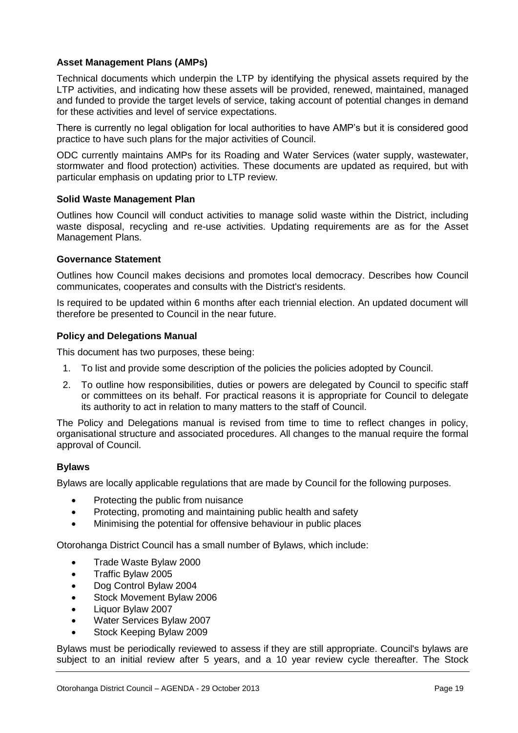#### **Asset Management Plans (AMPs)**

Technical documents which underpin the LTP by identifying the physical assets required by the LTP activities, and indicating how these assets will be provided, renewed, maintained, managed and funded to provide the target levels of service, taking account of potential changes in demand for these activities and level of service expectations.

There is currently no legal obligation for local authorities to have AMP's but it is considered good practice to have such plans for the major activities of Council.

ODC currently maintains AMPs for its Roading and Water Services (water supply, wastewater, stormwater and flood protection) activities. These documents are updated as required, but with particular emphasis on updating prior to LTP review.

#### **Solid Waste Management Plan**

Outlines how Council will conduct activities to manage solid waste within the District, including waste disposal, recycling and re-use activities. Updating requirements are as for the Asset Management Plans.

#### **Governance Statement**

Outlines how Council makes decisions and promotes local democracy. Describes how Council communicates, cooperates and consults with the District's residents.

Is required to be updated within 6 months after each triennial election. An updated document will therefore be presented to Council in the near future.

#### **Policy and Delegations Manual**

This document has two purposes, these being:

- 1. To list and provide some description of the policies the policies adopted by Council.
- 2. To outline how responsibilities, duties or powers are delegated by Council to specific staff or committees on its behalf. For practical reasons it is appropriate for Council to delegate its authority to act in relation to many matters to the staff of Council.

The Policy and Delegations manual is revised from time to time to reflect changes in policy, organisational structure and associated procedures. All changes to the manual require the formal approval of Council.

#### **Bylaws**

Bylaws are locally applicable regulations that are made by Council for the following purposes.

- Protecting the public from nuisance
- Protecting, promoting and maintaining public health and safety
- Minimising the potential for offensive behaviour in public places

Otorohanga District Council has a small number of Bylaws, which include:

- Trade Waste Bylaw 2000
- Traffic Bylaw 2005
- Dog Control Bylaw 2004
- Stock Movement Bylaw 2006
- Liquor Bylaw 2007
- Water Services Bylaw 2007
- Stock Keeping Bylaw 2009

Bylaws must be periodically reviewed to assess if they are still appropriate. Council's bylaws are subject to an initial review after 5 years, and a 10 year review cycle thereafter. The Stock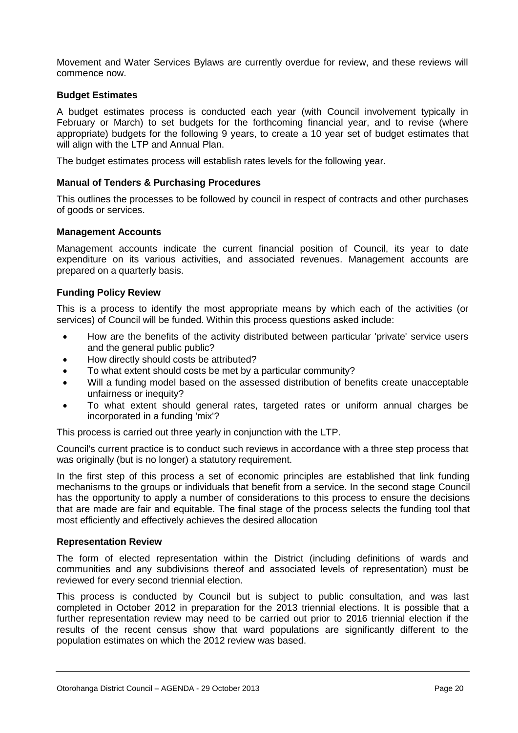Movement and Water Services Bylaws are currently overdue for review, and these reviews will commence now.

#### **Budget Estimates**

A budget estimates process is conducted each year (with Council involvement typically in February or March) to set budgets for the forthcoming financial year, and to revise (where appropriate) budgets for the following 9 years, to create a 10 year set of budget estimates that will align with the LTP and Annual Plan.

The budget estimates process will establish rates levels for the following year.

#### **Manual of Tenders & Purchasing Procedures**

This outlines the processes to be followed by council in respect of contracts and other purchases of goods or services.

#### **Management Accounts**

Management accounts indicate the current financial position of Council, its year to date expenditure on its various activities, and associated revenues. Management accounts are prepared on a quarterly basis.

#### **Funding Policy Review**

This is a process to identify the most appropriate means by which each of the activities (or services) of Council will be funded. Within this process questions asked include:

- How are the benefits of the activity distributed between particular 'private' service users and the general public public?
- How directly should costs be attributed?
- To what extent should costs be met by a particular community?
- Will a funding model based on the assessed distribution of benefits create unacceptable unfairness or inequity?
- To what extent should general rates, targeted rates or uniform annual charges be incorporated in a funding 'mix'?

This process is carried out three yearly in conjunction with the LTP.

Council's current practice is to conduct such reviews in accordance with a three step process that was originally (but is no longer) a statutory requirement.

In the first step of this process a set of economic principles are established that link funding mechanisms to the groups or individuals that benefit from a service. In the second stage Council has the opportunity to apply a number of considerations to this process to ensure the decisions that are made are fair and equitable. The final stage of the process selects the funding tool that most efficiently and effectively achieves the desired allocation

#### **Representation Review**

The form of elected representation within the District (including definitions of wards and communities and any subdivisions thereof and associated levels of representation) must be reviewed for every second triennial election.

This process is conducted by Council but is subject to public consultation, and was last completed in October 2012 in preparation for the 2013 triennial elections. It is possible that a further representation review may need to be carried out prior to 2016 triennial election if the results of the recent census show that ward populations are significantly different to the population estimates on which the 2012 review was based.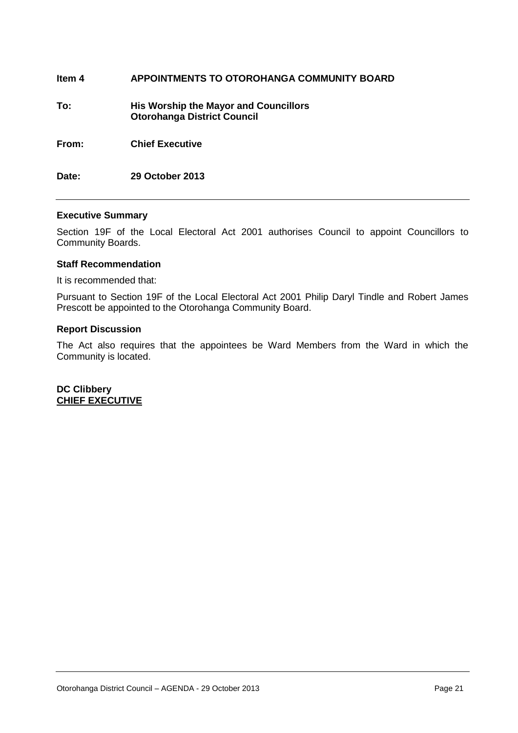| ltem 4 | APPOINTMENTS TO OTOROHANGA COMMUNITY BOARD                                         |
|--------|------------------------------------------------------------------------------------|
| To:    | <b>His Worship the Mayor and Councillors</b><br><b>Otorohanga District Council</b> |
| From:  | <b>Chief Executive</b>                                                             |
| Date:  | 29 October 2013                                                                    |

#### **Executive Summary**

Section 19F of the Local Electoral Act 2001 authorises Council to appoint Councillors to Community Boards.

#### **Staff Recommendation**

It is recommended that:

Pursuant to Section 19F of the Local Electoral Act 2001 Philip Daryl Tindle and Robert James Prescott be appointed to the Otorohanga Community Board.

#### **Report Discussion**

The Act also requires that the appointees be Ward Members from the Ward in which the Community is located.

**DC Clibbery CHIEF EXECUTIVE**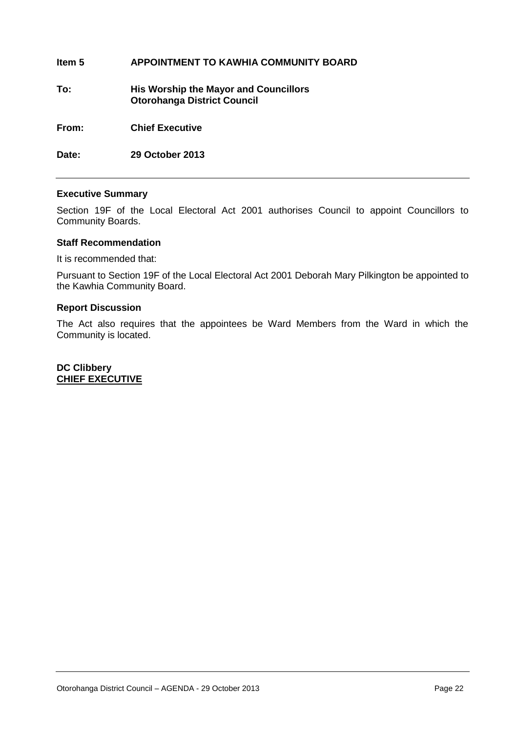#### **Item 5 APPOINTMENT TO KAWHIA COMMUNITY BOARD**

**To: His Worship the Mayor and Councillors Otorohanga District Council**

**From: Chief Executive**

**Date: 29 October 2013** 

#### **Executive Summary**

Section 19F of the Local Electoral Act 2001 authorises Council to appoint Councillors to Community Boards.

#### **Staff Recommendation**

It is recommended that:

Pursuant to Section 19F of the Local Electoral Act 2001 Deborah Mary Pilkington be appointed to the Kawhia Community Board.

#### **Report Discussion**

The Act also requires that the appointees be Ward Members from the Ward in which the Community is located.

**DC Clibbery CHIEF EXECUTIVE**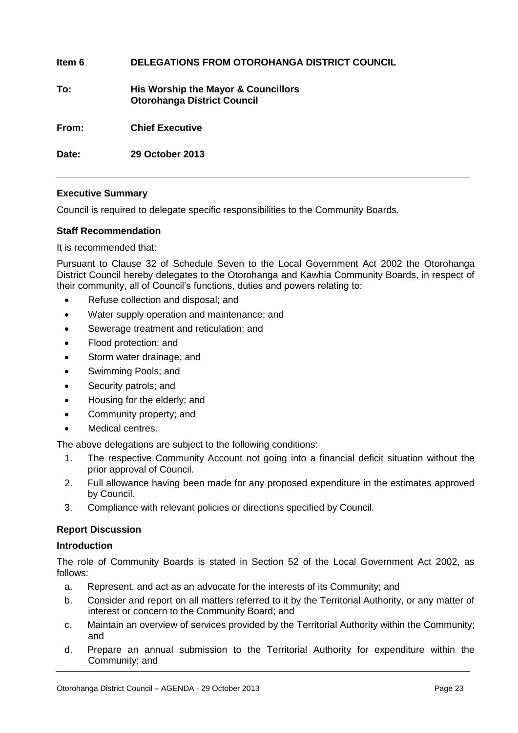| ltem 6 | DELEGATIONS FROM OTOROHANGA DISTRICT COUNCIL                              |
|--------|---------------------------------------------------------------------------|
| To:    | His Worship the Mayor & Councillors<br><b>Otorohanga District Council</b> |
| From:  | <b>Chief Executive</b>                                                    |
| Date:  | 29 October 2013                                                           |

#### **Executive Summary**

Council is required to delegate specific responsibilities to the Community Boards.

#### **Staff Recommendation**

It is recommended that:

Pursuant to Clause 32 of Schedule Seven to the Local Government Act 2002 the Otorohanga District Council hereby delegates to the Otorohanga and Kawhia Community Boards, in respect of their community, all of Council's functions, duties and powers relating to:

- Refuse collection and disposal; and
- Water supply operation and maintenance; and
- Sewerage treatment and reticulation; and
- Flood protection; and
- Storm water drainage; and
- Swimming Pools; and
- Security patrols; and
- Housing for the elderly; and
- Community property; and
- Medical centres.

The above delegations are subject to the following conditions:

- 1. The respective Community Account not going into a financial deficit situation without the prior approval of Council.
- 2. Full allowance having been made for any proposed expenditure in the estimates approved by Council.
- 3. Compliance with relevant policies or directions specified by Council.

#### **Report Discussion**

#### **Introduction**

The role of Community Boards is stated in Section 52 of the Local Government Act 2002, as follows:

- a. Represent, and act as an advocate for the interests of its Community; and
- b. Consider and report on all matters referred to it by the Territorial Authority, or any matter of interest or concern to the Community Board; and
- c. Maintain an overview of services provided by the Territorial Authority within the Community; and
- d. Prepare an annual submission to the Territorial Authority for expenditure within the Community; and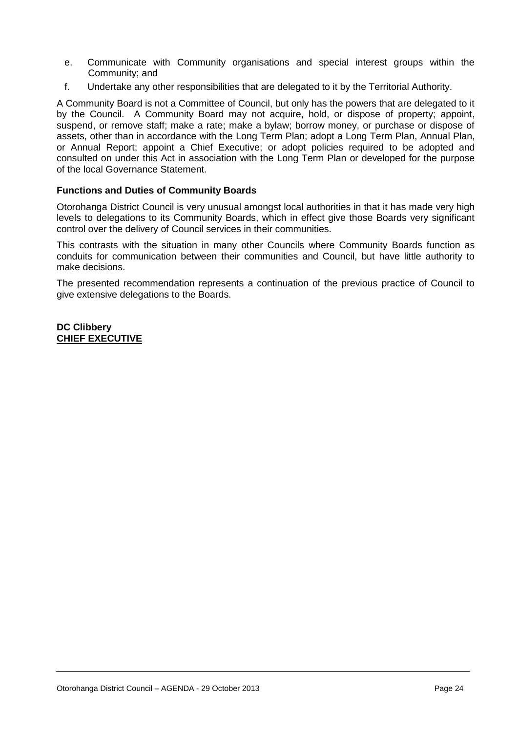- e. Communicate with Community organisations and special interest groups within the Community; and
- f. Undertake any other responsibilities that are delegated to it by the Territorial Authority.

A Community Board is not a Committee of Council, but only has the powers that are delegated to it by the Council. A Community Board may not acquire, hold, or dispose of property; appoint, suspend, or remove staff; make a rate; make a bylaw; borrow money, or purchase or dispose of assets, other than in accordance with the Long Term Plan; adopt a Long Term Plan, Annual Plan, or Annual Report; appoint a Chief Executive; or adopt policies required to be adopted and consulted on under this Act in association with the Long Term Plan or developed for the purpose of the local Governance Statement.

#### **Functions and Duties of Community Boards**

Otorohanga District Council is very unusual amongst local authorities in that it has made very high levels to delegations to its Community Boards, which in effect give those Boards very significant control over the delivery of Council services in their communities.

This contrasts with the situation in many other Councils where Community Boards function as conduits for communication between their communities and Council, but have little authority to make decisions.

The presented recommendation represents a continuation of the previous practice of Council to give extensive delegations to the Boards.

**DC Clibbery CHIEF EXECUTIVE**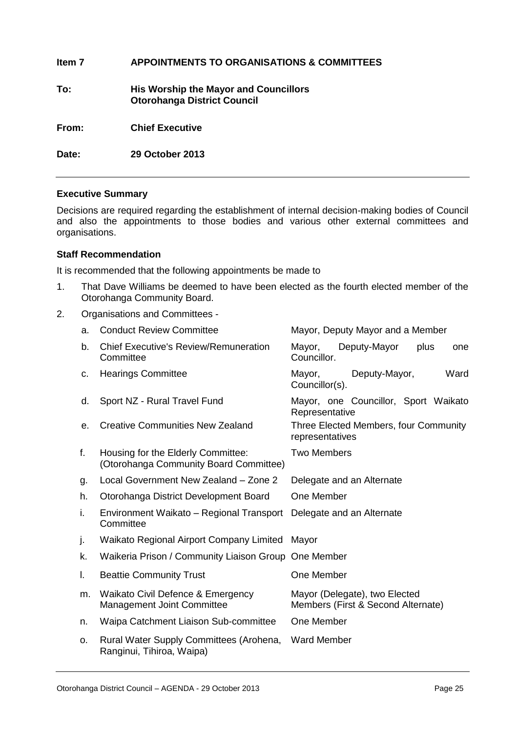| ltem 7 | <b>APPOINTMENTS TO ORGANISATIONS &amp; COMMITTEES</b>                              |
|--------|------------------------------------------------------------------------------------|
| To:    | <b>His Worship the Mayor and Councillors</b><br><b>Otorohanga District Council</b> |
| From:  | <b>Chief Executive</b>                                                             |
| Date:  | 29 October 2013                                                                    |
|        |                                                                                    |

#### **Executive Summary**

Decisions are required regarding the establishment of internal decision-making bodies of Council and also the appointments to those bodies and various other external committees and organisations.

#### **Staff Recommendation**

It is recommended that the following appointments be made to

- 1. That Dave Williams be deemed to have been elected as the fourth elected member of the Otorohanga Community Board.
- 2. Organisations and Committees -

| a. | <b>Conduct Review Committee</b>                                              | Mayor, Deputy Mayor and a Member                                    |  |
|----|------------------------------------------------------------------------------|---------------------------------------------------------------------|--|
| b. | <b>Chief Executive's Review/Remuneration</b><br>Committee                    | Deputy-Mayor<br>plus<br>Mayor,<br>one<br>Councillor.                |  |
| c. | <b>Hearings Committee</b>                                                    | Ward<br>Mayor,<br>Deputy-Mayor,<br>Councillor(s).                   |  |
| d. | Sport NZ - Rural Travel Fund                                                 | Mayor, one Councillor, Sport Waikato<br>Representative              |  |
| е. | <b>Creative Communities New Zealand</b>                                      | Three Elected Members, four Community<br>representatives            |  |
| f. | Housing for the Elderly Committee:<br>(Otorohanga Community Board Committee) | <b>Two Members</b>                                                  |  |
| g. | Local Government New Zealand - Zone 2                                        | Delegate and an Alternate                                           |  |
| h. | Otorohanga District Development Board                                        | One Member                                                          |  |
| i. | Environment Waikato - Regional Transport<br>Committee                        | Delegate and an Alternate                                           |  |
| j. | Waikato Regional Airport Company Limited                                     | Mayor                                                               |  |
| k. | Waikeria Prison / Community Liaison Group One Member                         |                                                                     |  |
| I. | <b>Beattie Community Trust</b>                                               | One Member                                                          |  |
| m. | Waikato Civil Defence & Emergency<br><b>Management Joint Committee</b>       | Mayor (Delegate), two Elected<br>Members (First & Second Alternate) |  |
| n. | Waipa Catchment Liaison Sub-committee                                        | One Member                                                          |  |
| 0. | Rural Water Supply Committees (Arohena,<br>Ranginui, Tihiroa, Waipa)         | <b>Ward Member</b>                                                  |  |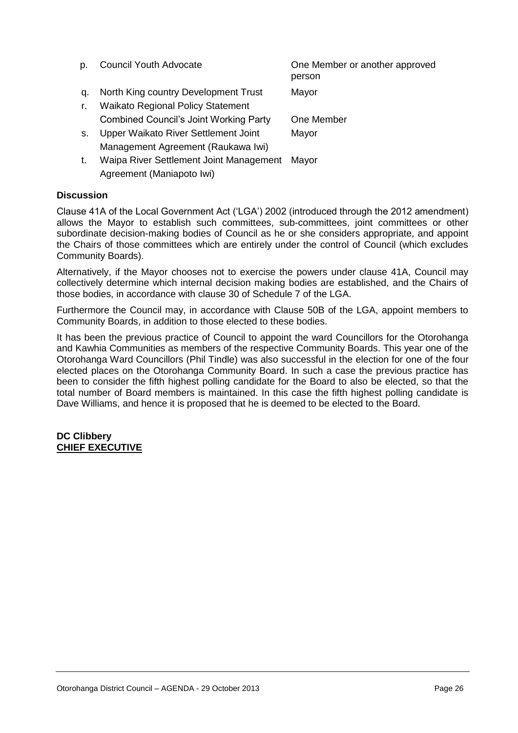| D. | <b>Council Youth Advocate</b>                   | One Member or another approved<br>person |
|----|-------------------------------------------------|------------------------------------------|
| q. | North King country Development Trust            | Mayor                                    |
| r. | <b>Waikato Regional Policy Statement</b>        |                                          |
|    | <b>Combined Council's Joint Working Party</b>   | One Member                               |
| S. | Upper Waikato River Settlement Joint            | Mayor                                    |
|    | Management Agreement (Raukawa Iwi)              |                                          |
|    | Weing Diver Cettlement, Joint Menagement, Mover |                                          |

t. Waipa River Settlement Joint Management Mayor Agreement (Maniapoto Iwi)

#### **Discussion**

Clause 41A of the Local Government Act ('LGA') 2002 (introduced through the 2012 amendment) allows the Mayor to establish such committees, sub-committees, joint committees or other subordinate decision-making bodies of Council as he or she considers appropriate, and appoint the Chairs of those committees which are entirely under the control of Council (which excludes Community Boards).

Alternatively, if the Mayor chooses not to exercise the powers under clause 41A, Council may collectively determine which internal decision making bodies are established, and the Chairs of those bodies, in accordance with clause 30 of Schedule 7 of the LGA.

Furthermore the Council may, in accordance with Clause 50B of the LGA, appoint members to Community Boards, in addition to those elected to these bodies.

It has been the previous practice of Council to appoint the ward Councillors for the Otorohanga and Kawhia Communities as members of the respective Community Boards. This year one of the Otorohanga Ward Councillors (Phil Tindle) was also successful in the election for one of the four elected places on the Otorohanga Community Board. In such a case the previous practice has been to consider the fifth highest polling candidate for the Board to also be elected, so that the total number of Board members is maintained. In this case the fifth highest polling candidate is Dave Williams, and hence it is proposed that he is deemed to be elected to the Board.

#### **DC Clibbery CHIEF EXECUTIVE**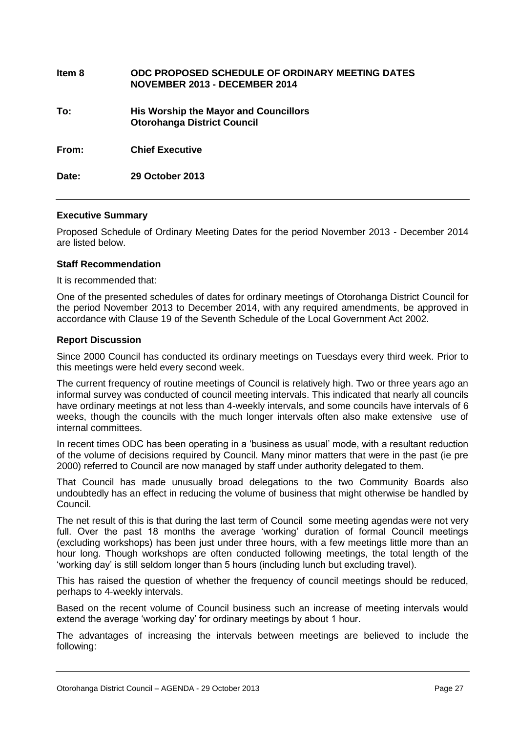| Item 8 | ODC PROPOSED SCHEDULE OF ORDINARY MEETING DATES<br>NOVEMBER 2013 - DECEMBER 2014   |
|--------|------------------------------------------------------------------------------------|
| To:    | <b>His Worship the Mayor and Councillors</b><br><b>Otorohanga District Council</b> |
| From:  | <b>Chief Executive</b>                                                             |
| Date:  | 29 October 2013                                                                    |

#### **Executive Summary**

Proposed Schedule of Ordinary Meeting Dates for the period November 2013 - December 2014 are listed below.

#### **Staff Recommendation**

It is recommended that:

One of the presented schedules of dates for ordinary meetings of Otorohanga District Council for the period November 2013 to December 2014, with any required amendments, be approved in accordance with Clause 19 of the Seventh Schedule of the Local Government Act 2002.

#### **Report Discussion**

Since 2000 Council has conducted its ordinary meetings on Tuesdays every third week. Prior to this meetings were held every second week.

The current frequency of routine meetings of Council is relatively high. Two or three years ago an informal survey was conducted of council meeting intervals. This indicated that nearly all councils have ordinary meetings at not less than 4-weekly intervals, and some councils have intervals of 6 weeks, though the councils with the much longer intervals often also make extensive use of internal committees.

In recent times ODC has been operating in a 'business as usual' mode, with a resultant reduction of the volume of decisions required by Council. Many minor matters that were in the past (ie pre 2000) referred to Council are now managed by staff under authority delegated to them.

That Council has made unusually broad delegations to the two Community Boards also undoubtedly has an effect in reducing the volume of business that might otherwise be handled by Council.

The net result of this is that during the last term of Council some meeting agendas were not very full. Over the past 18 months the average 'working' duration of formal Council meetings (excluding workshops) has been just under three hours, with a few meetings little more than an hour long. Though workshops are often conducted following meetings, the total length of the 'working day' is still seldom longer than 5 hours (including lunch but excluding travel).

This has raised the question of whether the frequency of council meetings should be reduced, perhaps to 4-weekly intervals.

Based on the recent volume of Council business such an increase of meeting intervals would extend the average 'working day' for ordinary meetings by about 1 hour.

The advantages of increasing the intervals between meetings are believed to include the following: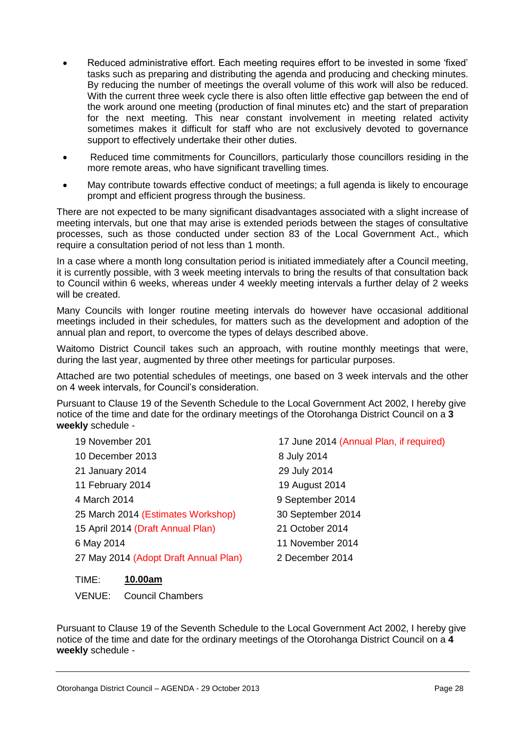- Reduced administrative effort. Each meeting requires effort to be invested in some 'fixed' tasks such as preparing and distributing the agenda and producing and checking minutes. By reducing the number of meetings the overall volume of this work will also be reduced. With the current three week cycle there is also often little effective gap between the end of the work around one meeting (production of final minutes etc) and the start of preparation for the next meeting. This near constant involvement in meeting related activity sometimes makes it difficult for staff who are not exclusively devoted to governance support to effectively undertake their other duties.
- Reduced time commitments for Councillors, particularly those councillors residing in the more remote areas, who have significant travelling times.
- May contribute towards effective conduct of meetings; a full agenda is likely to encourage prompt and efficient progress through the business.

There are not expected to be many significant disadvantages associated with a slight increase of meeting intervals, but one that may arise is extended periods between the stages of consultative processes, such as those conducted under section 83 of the Local Government Act., which require a consultation period of not less than 1 month.

In a case where a month long consultation period is initiated immediately after a Council meeting, it is currently possible, with 3 week meeting intervals to bring the results of that consultation back to Council within 6 weeks, whereas under 4 weekly meeting intervals a further delay of 2 weeks will be created.

Many Councils with longer routine meeting intervals do however have occasional additional meetings included in their schedules, for matters such as the development and adoption of the annual plan and report, to overcome the types of delays described above.

Waitomo District Council takes such an approach, with routine monthly meetings that were, during the last year, augmented by three other meetings for particular purposes.

Attached are two potential schedules of meetings, one based on 3 week intervals and the other on 4 week intervals, for Council's consideration.

Pursuant to Clause 19 of the Seventh Schedule to the Local Government Act 2002, I hereby give notice of the time and date for the ordinary meetings of the Otorohanga District Council on a **3 weekly** schedule -

| 19 November 201                       | 17 June 2014 (Annual Plan, if required) |
|---------------------------------------|-----------------------------------------|
| 10 December 2013                      | 8 July 2014                             |
| 21 January 2014                       | 29 July 2014                            |
| 11 February 2014                      | 19 August 2014                          |
| 4 March 2014                          | 9 September 2014                        |
| 25 March 2014 (Estimates Workshop)    | 30 September 2014                       |
| 15 April 2014 (Draft Annual Plan)     | 21 October 2014                         |
| 6 May 2014                            | 11 November 2014                        |
| 27 May 2014 (Adopt Draft Annual Plan) | 2 December 2014                         |

TIME: **10.00am**

VENUE: Council Chambers

Pursuant to Clause 19 of the Seventh Schedule to the Local Government Act 2002, I hereby give notice of the time and date for the ordinary meetings of the Otorohanga District Council on a **4 weekly** schedule -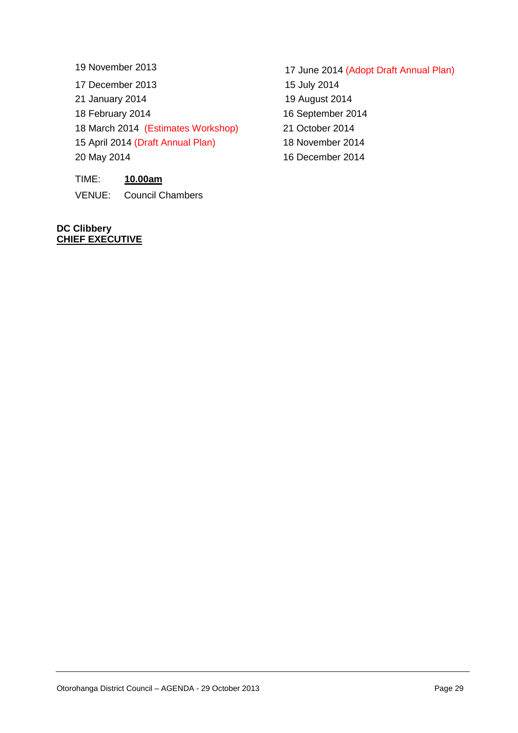17 December 2013 15 July 2014

21 January 2014 19 August 2014

18 March 2014 (Estimates Workshop) 21 October 2014

15 April 2014 (Draft Annual Plan) 18 November 2014

TIME: **10.00am**

VENUE: Council Chambers

**DC Clibbery CHIEF EXECUTIVE**

- 19 November 2013 17 June 2014 (Adopt Draft Annual Plan) 18 February 2014 16 September 2014
- 20 May 2014 16 December 2014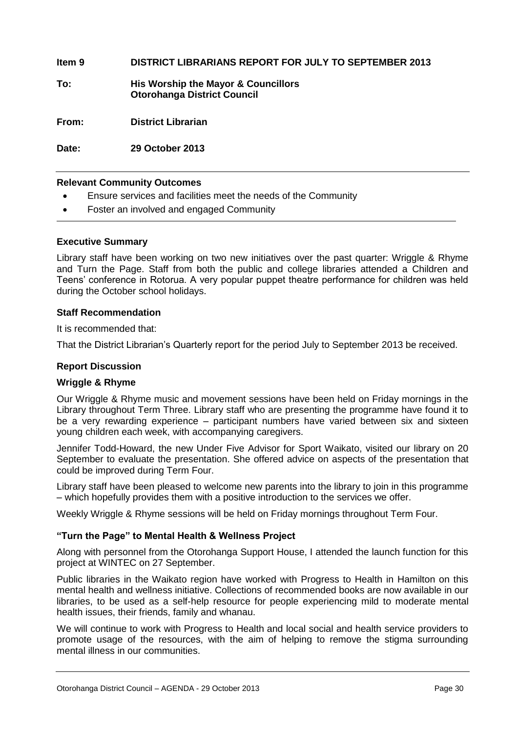#### **Item 9 DISTRICT LIBRARIANS REPORT FOR JULY TO SEPTEMBER 2013**

**To: His Worship the Mayor & Councillors Otorohanga District Council**

**From: District Librarian**

**Date: 29 October 2013**

#### **Relevant Community Outcomes**

- Ensure services and facilities meet the needs of the Community
- Foster an involved and engaged Community

#### **Executive Summary**

Library staff have been working on two new initiatives over the past quarter: Wriggle & Rhyme and Turn the Page. Staff from both the public and college libraries attended a Children and Teens' conference in Rotorua. A very popular puppet theatre performance for children was held during the October school holidays.

#### **Staff Recommendation**

It is recommended that:

That the District Librarian's Quarterly report for the period July to September 2013 be received.

#### **Report Discussion**

#### **Wriggle & Rhyme**

Our Wriggle & Rhyme music and movement sessions have been held on Friday mornings in the Library throughout Term Three. Library staff who are presenting the programme have found it to be a very rewarding experience – participant numbers have varied between six and sixteen young children each week, with accompanying caregivers.

Jennifer Todd-Howard, the new Under Five Advisor for Sport Waikato, visited our library on 20 September to evaluate the presentation. She offered advice on aspects of the presentation that could be improved during Term Four.

Library staff have been pleased to welcome new parents into the library to join in this programme – which hopefully provides them with a positive introduction to the services we offer.

Weekly Wriggle & Rhyme sessions will be held on Friday mornings throughout Term Four.

#### **"Turn the Page" to Mental Health & Wellness Project**

Along with personnel from the Otorohanga Support House, I attended the launch function for this project at WINTEC on 27 September.

Public libraries in the Waikato region have worked with Progress to Health in Hamilton on this mental health and wellness initiative. Collections of recommended books are now available in our libraries, to be used as a self-help resource for people experiencing mild to moderate mental health issues, their friends, family and whanau.

We will continue to work with Progress to Health and local social and health service providers to promote usage of the resources, with the aim of helping to remove the stigma surrounding mental illness in our communities.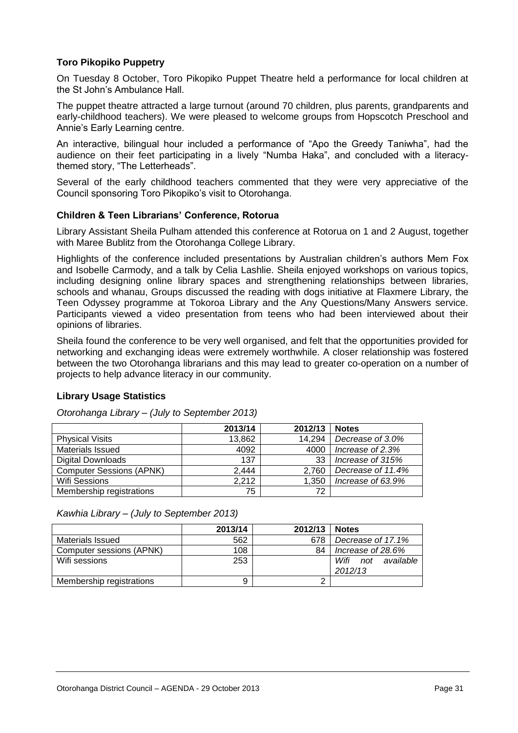#### **Toro Pikopiko Puppetry**

On Tuesday 8 October, Toro Pikopiko Puppet Theatre held a performance for local children at the St John's Ambulance Hall.

The puppet theatre attracted a large turnout (around 70 children, plus parents, grandparents and early-childhood teachers). We were pleased to welcome groups from Hopscotch Preschool and Annie's Early Learning centre.

An interactive, bilingual hour included a performance of "Apo the Greedy Taniwha", had the audience on their feet participating in a lively "Numba Haka", and concluded with a literacythemed story, "The Letterheads".

Several of the early childhood teachers commented that they were very appreciative of the Council sponsoring Toro Pikopiko's visit to Otorohanga.

#### **Children & Teen Librarians' Conference, Rotorua**

Library Assistant Sheila Pulham attended this conference at Rotorua on 1 and 2 August, together with Maree Bublitz from the Otorohanga College Library.

Highlights of the conference included presentations by Australian children's authors Mem Fox and Isobelle Carmody, and a talk by Celia Lashlie. Sheila enjoyed workshops on various topics, including designing online library spaces and strengthening relationships between libraries, schools and whanau, Groups discussed the reading with dogs initiative at Flaxmere Library, the Teen Odyssey programme at Tokoroa Library and the Any Questions/Many Answers service. Participants viewed a video presentation from teens who had been interviewed about their opinions of libraries.

Sheila found the conference to be very well organised, and felt that the opportunities provided for networking and exchanging ideas were extremely worthwhile. A closer relationship was fostered between the two Otorohanga librarians and this may lead to greater co-operation on a number of projects to help advance literacy in our community.

#### **Library Usage Statistics**

|                                 | 2013/14 | 2012/13 | <b>Notes</b>      |
|---------------------------------|---------|---------|-------------------|
| <b>Physical Visits</b>          | 13,862  | 14.294  | Decrease of 3.0%  |
| <b>Materials Issued</b>         | 4092    | 4000    | Increase of 2.3%  |
| <b>Digital Downloads</b>        | 137     | 33      | Increase of 315%  |
| <b>Computer Sessions (APNK)</b> | 2,444   | 2.760   | Decrease of 11.4% |
| <b>Wifi Sessions</b>            | 2.212   | 1.350   | Increase of 63.9% |
| Membership registrations        | 75      | 72      |                   |

*Otorohanga Library – (July to September 2013)*

*Kawhia Library – (July to September 2013)*

|                          | 2013/14 | 2012/13 | <b>Notes</b>             |
|--------------------------|---------|---------|--------------------------|
| Materials Issued         | 562     | 678     | Decrease of 17.1%        |
| Computer sessions (APNK) | 108     | 84      | Increase of 28.6%        |
| Wifi sessions            | 253     |         | available<br>Wifi<br>not |
|                          |         |         | 2012/13                  |
| Membership registrations |         |         |                          |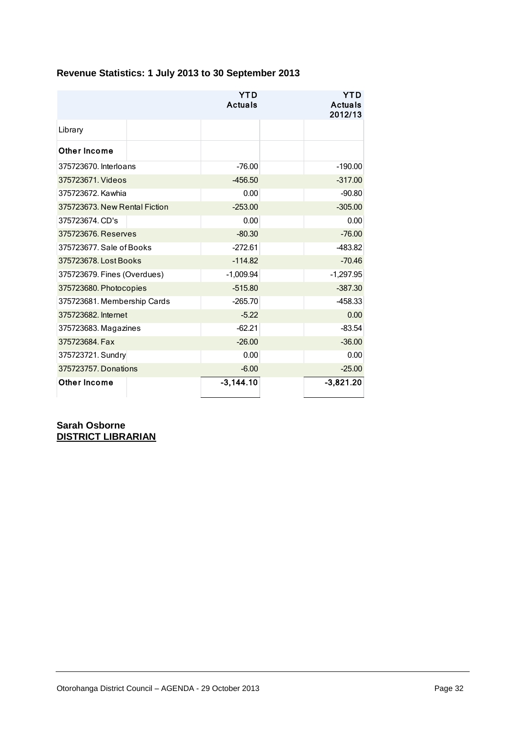| Revenue Statistics: 1 July 2013 to 30 September 2013 |                              |  |                                         |
|------------------------------------------------------|------------------------------|--|-----------------------------------------|
|                                                      | <b>YTD</b><br><b>Actuals</b> |  | <b>YTD</b><br><b>Actuals</b><br>2012/13 |
| Library                                              |                              |  |                                         |
| Other Income                                         |                              |  |                                         |
| 375723670. Interloans                                | $-76.00$                     |  | $-190.00$                               |
| 375723671. Videos                                    | $-456.50$                    |  | $-317.00$                               |
| 375723672. Kawhia                                    | 0.00                         |  | $-90.80$                                |
| 375723673. New Rental Fiction                        | $-253.00$                    |  | $-305.00$                               |
| 375723674. CD's                                      | 0.00                         |  | 0.00                                    |
| 375723676. Reserves                                  | $-80.30$                     |  | $-76.00$                                |
| 375723677. Sale of Books                             | $-272.61$                    |  | -483.82                                 |
| 375723678. Lost Books                                | $-114.82$                    |  | $-70.46$                                |
| 375723679. Fines (Overdues)                          | $-1,009.94$                  |  | $-1,297.95$                             |
| 375723680. Photocopies                               | $-515.80$                    |  | $-387.30$                               |
| 375723681. Membership Cards                          | $-265.70$                    |  | -458.33                                 |
| 375723682. Internet                                  | $-5.22$                      |  | 0.00                                    |
| 375723683. Magazines                                 | $-62.21$                     |  | $-83.54$                                |
| 375723684. Fax                                       | $-26.00$                     |  | $-36.00$                                |
| 375723721. Sundry                                    | 0.00                         |  | 0.00                                    |
| 375723757. Donations                                 | $-6.00$                      |  | $-25.00$                                |
| <b>Other Income</b>                                  | $-3,144.10$                  |  | $-3,821.20$                             |

**Sarah Osborne DISTRICT LIBRARIAN**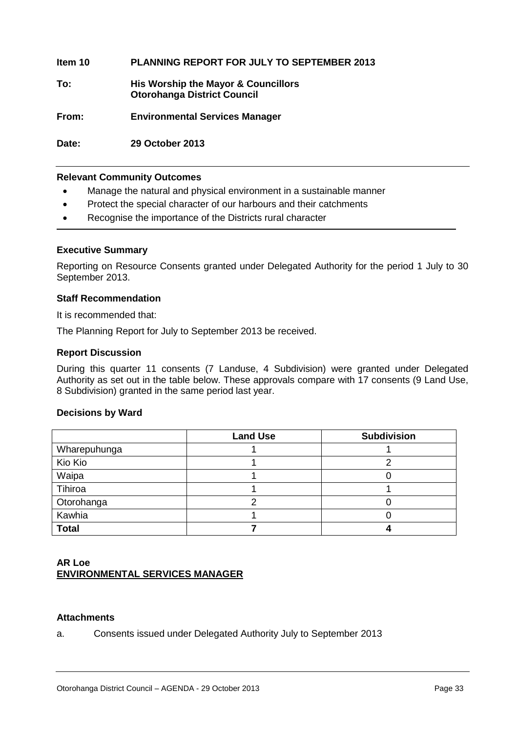**Item 10 PLANNING REPORT FOR JULY TO SEPTEMBER 2013**

**To: His Worship the Mayor & Councillors Otorohanga District Council**

**From: Environmental Services Manager**

**Date: 29 October 2013**

#### **Relevant Community Outcomes**

- Manage the natural and physical environment in a sustainable manner
- Protect the special character of our harbours and their catchments
- Recognise the importance of the Districts rural character

#### **Executive Summary**

Reporting on Resource Consents granted under Delegated Authority for the period 1 July to 30 September 2013.

#### **Staff Recommendation**

It is recommended that:

The Planning Report for July to September 2013 be received.

#### **Report Discussion**

During this quarter 11 consents (7 Landuse, 4 Subdivision) were granted under Delegated Authority as set out in the table below. These approvals compare with 17 consents (9 Land Use, 8 Subdivision) granted in the same period last year.

#### **Decisions by Ward**

|              | <b>Land Use</b> | <b>Subdivision</b> |
|--------------|-----------------|--------------------|
| Wharepuhunga |                 |                    |
| Kio Kio      |                 |                    |
| Waipa        |                 |                    |
| Tihiroa      |                 |                    |
| Otorohanga   |                 |                    |
| Kawhia       |                 |                    |
| <b>Total</b> |                 |                    |

#### **AR Loe ENVIRONMENTAL SERVICES MANAGER**

#### **Attachments**

a. Consents issued under Delegated Authority July to September 2013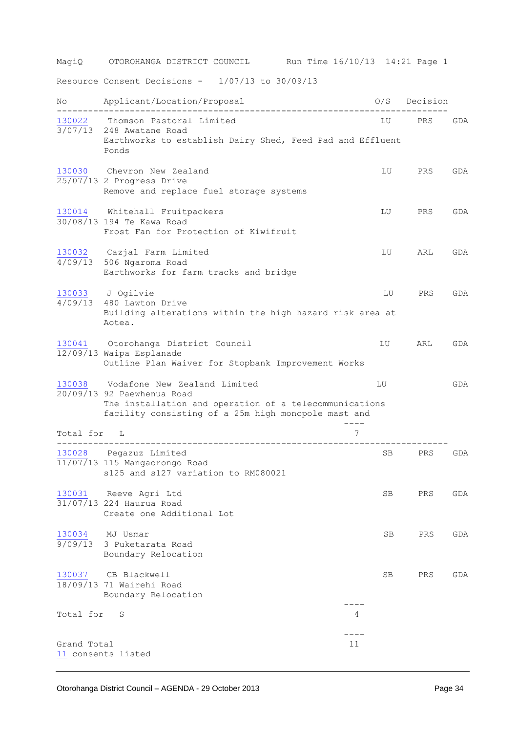MagiQ OTOROHANGA DISTRICT COUNCIL Run Time 16/10/13 14:21 Page 1 Resource Consent Decisions - 1/07/13 to 30/09/13 No Applicant/Location/Proposal 0/S Decision --------------------------------------------------------------------------- [130022](http://ncs-unix.otodc.govt.nz/cgi-bin/reg/rg6ep?130022) Thomson Pastoral Limited 3/07/13 248 Awatane Road Earthworks to establish Dairy Shed, Feed Pad and Effluent Ponds [130030](http://ncs-unix.otodc.govt.nz/cgi-bin/reg/rg6ep?130030) Chevron New Zealand Charles Control Chevron New Zealand Charles Control Chevron Chevron Chevron Chevron  $\sqrt{25/07/13}$  2 Progress Drive Remove and replace fuel storage systems [130014](http://ncs-unix.otodc.govt.nz/cgi-bin/reg/rg6ep?130014) Whitehall Fruitpackers and the control of the BRS GDA 30/08/13 194 Te Kawa Road Frost Fan for Protection of Kiwifruit [130032](http://ncs-unix.otodc.govt.nz/cgi-bin/reg/rg6ep?130032) Cazjal Farm Limited LU ARL GDA 4/09/13 506 Ngaroma Road Earthworks for farm tracks and bridge [130033](http://ncs-unix.otodc.govt.nz/cgi-bin/reg/rg6ep?130033) J Ogilvie LU PRS GDA  $\frac{1}{4/09/13}$  480 Lawton Drive Building alterations within the high hazard risk area at Aotea. [130041](http://ncs-unix.otodc.govt.nz/cgi-bin/reg/rg6ep?130041) Otorohanga District Council LU ARL GDA 12/09/13 Waipa Esplanade Outline Plan Waiver for Stopbank Improvement Works [130038](http://ncs-unix.otodc.govt.nz/cgi-bin/reg/rg6ep?130038) Vodafone New Zealand Limited LU GDA 20/09/13 92 Paewhenua Road The installation and operation of a telecommunications facility consisting of a 25m high monopole mast and ---- Total for L 7 --------------------------------------------------------------------------- [130028](http://ncs-unix.otodc.govt.nz/cgi-bin/reg/rg6ep?130028) Pegazuz Limited 11/07/13 115 Mangaorongo Road s125 and s127 variation to RM080021 [130031](http://ncs-unix.otodc.govt.nz/cgi-bin/reg/rg6ep?130031) Reeve Agri Ltd SB PRS GDA 31/07/13 224 Haurua Road Create one Additional Lot [130034](http://ncs-unix.otodc.govt.nz/cgi-bin/reg/rg6ep?130034) MJ Usmar SB PRS GDA 9/09/13 3 Puketarata Road Boundary Relocation [130037](http://ncs-unix.otodc.govt.nz/cgi-bin/reg/rg6ep?130037) CB Blackwell SB PRS GDA 18/09/13 71 Wairehi Road Boundary Relocation ---- Total for S 4 ---- Grand Total 11

Otorohanga District Council – AGENDA - 29 October 2013 Page 34

[11](http://ncs-unix.otodc.govt.nz/cgi-bin/reg/rg6ep?11) consents listed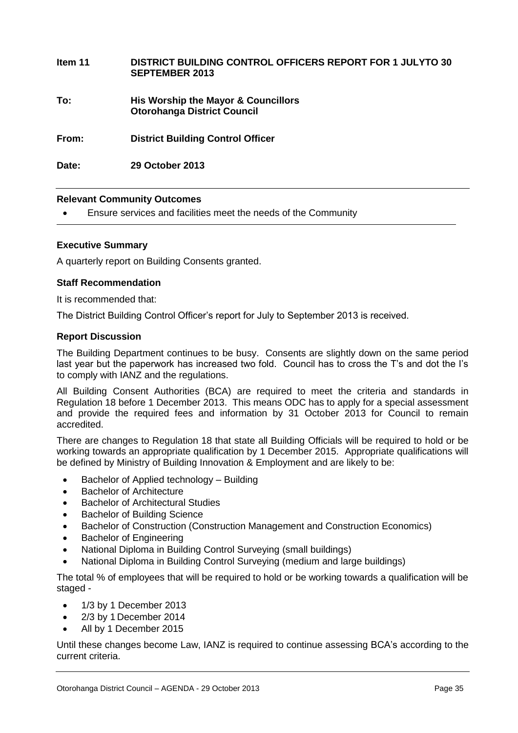| Item 11 | <b>DISTRICT BUILDING CONTROL OFFICERS REPORT FOR 1 JULYTO 30</b><br><b>SEPTEMBER 2013</b> |
|---------|-------------------------------------------------------------------------------------------|
| To:     | His Worship the Mayor & Councillors<br><b>Otorohanga District Council</b>                 |
| From:   | <b>District Building Control Officer</b>                                                  |
| Date:   | 29 October 2013                                                                           |

#### **Relevant Community Outcomes**

Ensure services and facilities meet the needs of the Community

#### **Executive Summary**

A quarterly report on Building Consents granted.

#### **Staff Recommendation**

It is recommended that:

The District Building Control Officer's report for July to September 2013 is received.

#### **Report Discussion**

The Building Department continues to be busy. Consents are slightly down on the same period last year but the paperwork has increased two fold. Council has to cross the T's and dot the I's to comply with IANZ and the regulations.

All Building Consent Authorities (BCA) are required to meet the criteria and standards in Regulation 18 before 1 December 2013. This means ODC has to apply for a special assessment and provide the required fees and information by 31 October 2013 for Council to remain accredited.

There are changes to Regulation 18 that state all Building Officials will be required to hold or be working towards an appropriate qualification by 1 December 2015. Appropriate qualifications will be defined by Ministry of Building Innovation & Employment and are likely to be:

- Bachelor of Applied technology Building
- Bachelor of Architecture
- Bachelor of Architectural Studies
- Bachelor of Building Science
- Bachelor of Construction (Construction Management and Construction Economics)
- Bachelor of Engineering
- National Diploma in Building Control Surveying (small buildings)
- National Diploma in Building Control Surveying (medium and large buildings)

The total % of employees that will be required to hold or be working towards a qualification will be staged -

- $\bullet$  1/3 by 1 December 2013
- 2/3 by 1 December 2014
- All by 1 December 2015

Until these changes become Law, IANZ is required to continue assessing BCA's according to the current criteria.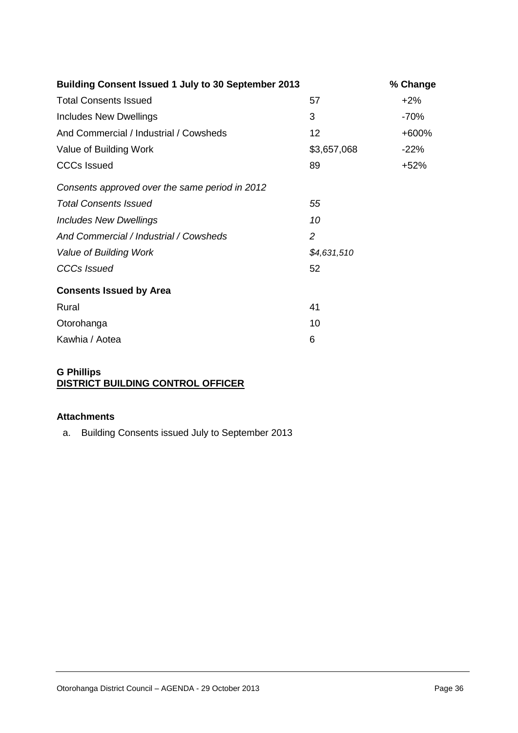| <b>Building Consent Issued 1 July to 30 September 2013</b> |                | % Change |
|------------------------------------------------------------|----------------|----------|
| <b>Total Consents Issued</b>                               | 57             | $+2\%$   |
| <b>Includes New Dwellings</b>                              | 3              | $-70%$   |
| And Commercial / Industrial / Cowsheds                     | 12             | +600%    |
| Value of Building Work                                     | \$3,657,068    | $-22%$   |
| <b>CCCs Issued</b>                                         | 89             | +52%     |
| Consents approved over the same period in 2012             |                |          |
| <b>Total Consents Issued</b>                               | 55             |          |
| <b>Includes New Dwellings</b>                              | 10             |          |
| And Commercial / Industrial / Cowsheds                     | $\overline{2}$ |          |
| Value of Building Work                                     | \$4,631,510    |          |
| <b>CCCs Issued</b>                                         | 52             |          |
| <b>Consents Issued by Area</b>                             |                |          |
| Rural                                                      | 41             |          |
| Otorohanga                                                 | 10             |          |
| Kawhia / Aotea                                             | 6              |          |

#### **G Phillips DISTRICT BUILDING CONTROL OFFICER**

#### **Attachments**

a. Building Consents issued July to September 2013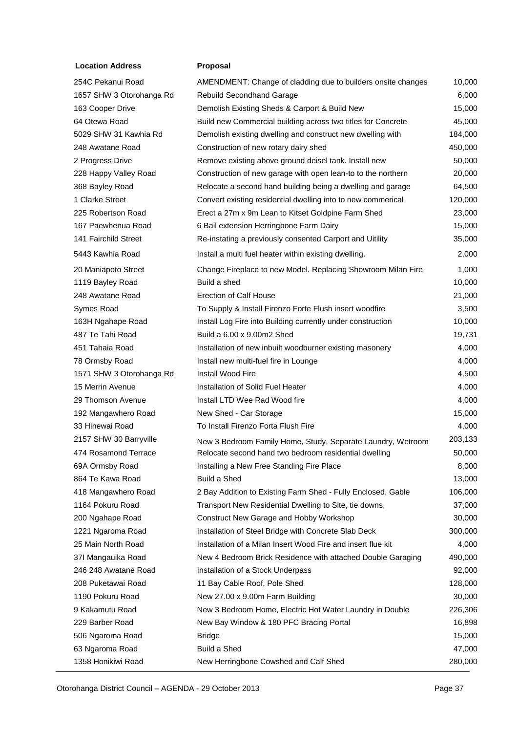#### **Location Address <b>Proposal**

254C Pekanui Road 1657 SHW 3 Otorohanga Rd 163 Cooper Drive 64 Otewa Road 5029 SHW 31 Kawhia Rd 248 Awatane Road 2 Progress Drive 228 Happy Valley Road 368 Bayley Road 1 Clarke Street 225 Robertson Road 167 Paewhenua Road 141 Fairchild Street 5443 Kawhia Road 20 Maniapoto Street 1119 Bayley Road 248 Awatane Road Symes Road 163H Ngahape Road 487 Te Tahi Road 451 Tahaia Road 78 Ormsby Road 1571 SHW 3 Otorohanga Rd 15 Merrin Avenue 29 Thomson Avenue 192 Mangawhero Road 33 Hinewai Road 2157 SHW 30 Barryville 474 Rosamond Terrace 69A Ormsby Road 864 Te Kawa Road 418 Mangawhero Road 1164 Pokuru Road 200 Ngahape Road 1221 Ngaroma Road 25 Main North Road 37I Mangauika Road 246 248 Awatane Road 208 Puketawai Road 1190 Pokuru Road 9 Kakamutu Road 229 Barber Road 506 Ngaroma Road 63 Ngaroma Road 1358 Honikiwi Road

|   | AMENDMENT: Change of cladding due to builders onsite changes | 10,000  |
|---|--------------------------------------------------------------|---------|
| ı | <b>Rebuild Secondhand Garage</b>                             | 6,000   |
|   | Demolish Existing Sheds & Carport & Build New                | 15,000  |
|   | Build new Commercial building across two titles for Concrete | 45,000  |
|   | Demolish existing dwelling and construct new dwelling with   | 184,000 |
|   | Construction of new rotary dairy shed                        | 450,000 |
|   | Remove existing above ground deisel tank. Install new        | 50,000  |
|   | Construction of new garage with open lean-to to the northern | 20,000  |
|   | Relocate a second hand building being a dwelling and garage  | 64,500  |
|   | Convert existing residential dwelling into to new commerical | 120,000 |
|   | Erect a 27m x 9m Lean to Kitset Goldpine Farm Shed           | 23,000  |
|   | 6 Bail extension Herringbone Farm Dairy                      | 15,000  |
|   | Re-instating a previously consented Carport and Uitility     | 35,000  |
|   | Install a multi fuel heater within existing dwelling.        | 2,000   |
|   | Change Fireplace to new Model. Replacing Showroom Milan Fire | 1,000   |
|   | Build a shed                                                 | 10,000  |
|   | <b>Erection of Calf House</b>                                | 21,000  |
|   | To Supply & Install Firenzo Forte Flush insert woodfire      | 3,500   |
|   | Install Log Fire into Building currently under construction  | 10,000  |
|   | Build a 6.00 x 9.00m2 Shed                                   | 19,731  |
|   | Installation of new inbuilt woodburner existing masonery     | 4,000   |
|   | Install new multi-fuel fire in Lounge                        | 4,000   |
| ı | Install Wood Fire                                            | 4,500   |
|   | Installation of Solid Fuel Heater                            | 4,000   |
|   | Install LTD Wee Rad Wood fire                                | 4,000   |
|   | New Shed - Car Storage                                       | 15,000  |
|   | To Install Firenzo Forta Flush Fire                          | 4,000   |
|   | New 3 Bedroom Family Home, Study, Separate Laundry, Wetroom  | 203,133 |
|   | Relocate second hand two bedroom residential dwelling        | 50,000  |
|   | Installing a New Free Standing Fire Place                    | 8,000   |
|   | <b>Build a Shed</b>                                          | 13,000  |
|   | 2 Bay Addition to Existing Farm Shed - Fully Enclosed, Gable | 106,000 |
|   | Transport New Residential Dwelling to Site, tie downs,       | 37,000  |
|   | Construct New Garage and Hobby Workshop                      | 30,000  |
|   | Installation of Steel Bridge with Concrete Slab Deck         | 300,000 |
|   | Installation of a Milan Insert Wood Fire and insert flue kit | 4,000   |
|   | New 4 Bedroom Brick Residence with attached Double Garaging  | 490,000 |
|   | Installation of a Stock Underpass                            | 92,000  |
|   | 11 Bay Cable Roof, Pole Shed                                 | 128,000 |
|   | New 27.00 x 9.00m Farm Building                              | 30,000  |
|   | New 3 Bedroom Home, Electric Hot Water Laundry in Double     | 226,306 |
|   | New Bay Window & 180 PFC Bracing Portal                      | 16,898  |
|   | <b>Bridge</b>                                                | 15,000  |
|   | <b>Build a Shed</b>                                          | 47,000  |
|   | New Herringbone Cowshed and Calf Shed                        | 280.000 |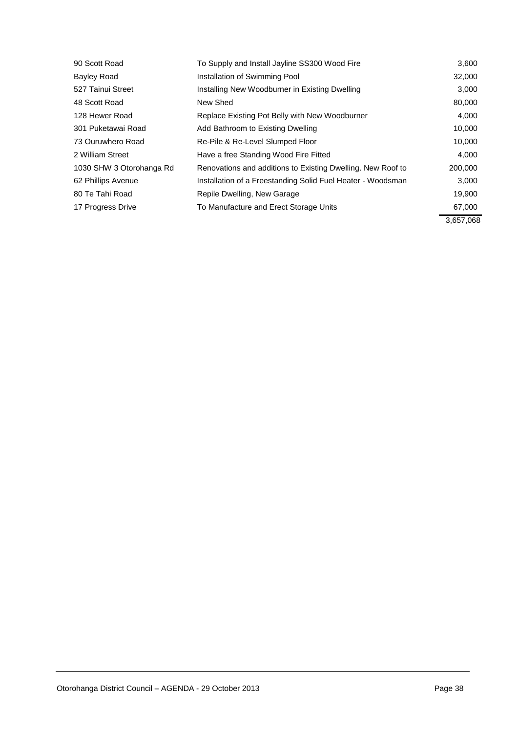| 90 Scott Road            | To Supply and Install Jayline SS300 Wood Fire               | 3,600     |
|--------------------------|-------------------------------------------------------------|-----------|
| Bayley Road              | Installation of Swimming Pool                               | 32,000    |
| 527 Tainui Street        | Installing New Woodburner in Existing Dwelling              | 3,000     |
| 48 Scott Road            | New Shed                                                    | 80,000    |
| 128 Hewer Road           | Replace Existing Pot Belly with New Woodburner              | 4,000     |
| 301 Puketawai Road       | Add Bathroom to Existing Dwelling                           | 10,000    |
| 73 Ouruwhero Road        | Re-Pile & Re-Level Slumped Floor                            | 10,000    |
| 2 William Street         | Have a free Standing Wood Fire Fitted                       | 4,000     |
| 1030 SHW 3 Otorohanga Rd | Renovations and additions to Existing Dwelling. New Roof to | 200,000   |
| 62 Phillips Avenue       | Installation of a Freestanding Solid Fuel Heater - Woodsman | 3,000     |
| 80 Te Tahi Road          | Repile Dwelling, New Garage                                 | 19,900    |
| 17 Progress Drive        | To Manufacture and Erect Storage Units                      | 67,000    |
|                          |                                                             | 3,657,068 |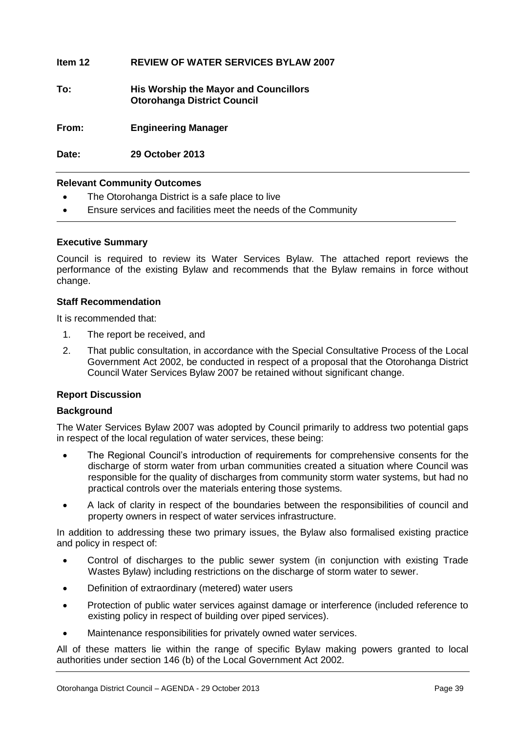#### **Item 12 REVIEW OF WATER SERVICES BYLAW 2007**

**To: His Worship the Mayor and Councillors Otorohanga District Council**

**From: Engineering Manager**

**Date: 29 October 2013**

#### **Relevant Community Outcomes**

- The Otorohanga District is a safe place to live
- Ensure services and facilities meet the needs of the Community

#### **Executive Summary**

Council is required to review its Water Services Bylaw. The attached report reviews the performance of the existing Bylaw and recommends that the Bylaw remains in force without change.

#### **Staff Recommendation**

It is recommended that:

- 1. The report be received, and
- 2. That public consultation, in accordance with the Special Consultative Process of the Local Government Act 2002, be conducted in respect of a proposal that the Otorohanga District Council Water Services Bylaw 2007 be retained without significant change.

#### **Report Discussion**

#### **Background**

The Water Services Bylaw 2007 was adopted by Council primarily to address two potential gaps in respect of the local regulation of water services, these being:

- The Regional Council's introduction of requirements for comprehensive consents for the discharge of storm water from urban communities created a situation where Council was responsible for the quality of discharges from community storm water systems, but had no practical controls over the materials entering those systems.
- A lack of clarity in respect of the boundaries between the responsibilities of council and property owners in respect of water services infrastructure.

In addition to addressing these two primary issues, the Bylaw also formalised existing practice and policy in respect of:

- Control of discharges to the public sewer system (in conjunction with existing Trade Wastes Bylaw) including restrictions on the discharge of storm water to sewer.
- Definition of extraordinary (metered) water users
- Protection of public water services against damage or interference (included reference to existing policy in respect of building over piped services).
- Maintenance responsibilities for privately owned water services.

All of these matters lie within the range of specific Bylaw making powers granted to local authorities under section 146 (b) of the Local Government Act 2002.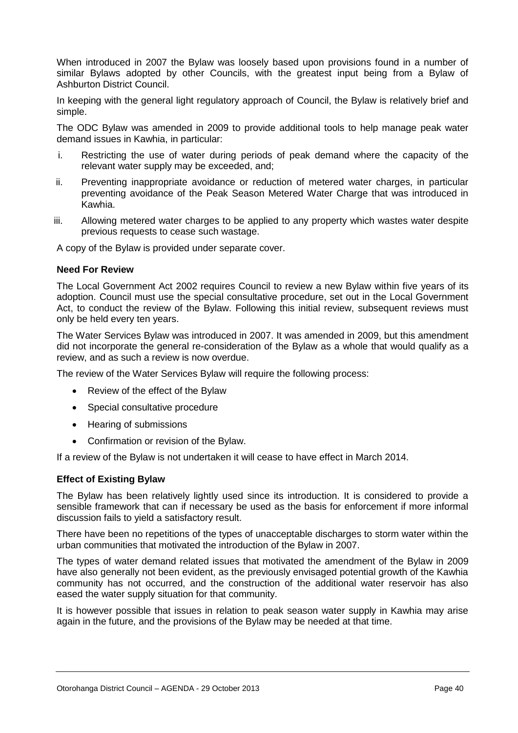When introduced in 2007 the Bylaw was loosely based upon provisions found in a number of similar Bylaws adopted by other Councils, with the greatest input being from a Bylaw of Ashburton District Council.

In keeping with the general light regulatory approach of Council, the Bylaw is relatively brief and simple.

The ODC Bylaw was amended in 2009 to provide additional tools to help manage peak water demand issues in Kawhia, in particular:

- i. Restricting the use of water during periods of peak demand where the capacity of the relevant water supply may be exceeded, and;
- ii. Preventing inappropriate avoidance or reduction of metered water charges, in particular preventing avoidance of the Peak Season Metered Water Charge that was introduced in Kawhia.
- iii. Allowing metered water charges to be applied to any property which wastes water despite previous requests to cease such wastage.

A copy of the Bylaw is provided under separate cover.

#### **Need For Review**

The Local Government Act 2002 requires Council to review a new Bylaw within five years of its adoption. Council must use the special consultative procedure, set out in the Local Government Act, to conduct the review of the Bylaw. Following this initial review, subsequent reviews must only be held every ten years.

The Water Services Bylaw was introduced in 2007. It was amended in 2009, but this amendment did not incorporate the general re-consideration of the Bylaw as a whole that would qualify as a review, and as such a review is now overdue.

The review of the Water Services Bylaw will require the following process:

- Review of the effect of the Bylaw
- Special consultative procedure
- Hearing of submissions
- Confirmation or revision of the Bylaw.

If a review of the Bylaw is not undertaken it will cease to have effect in March 2014.

#### **Effect of Existing Bylaw**

The Bylaw has been relatively lightly used since its introduction. It is considered to provide a sensible framework that can if necessary be used as the basis for enforcement if more informal discussion fails to yield a satisfactory result.

There have been no repetitions of the types of unacceptable discharges to storm water within the urban communities that motivated the introduction of the Bylaw in 2007.

The types of water demand related issues that motivated the amendment of the Bylaw in 2009 have also generally not been evident, as the previously envisaged potential growth of the Kawhia community has not occurred, and the construction of the additional water reservoir has also eased the water supply situation for that community.

It is however possible that issues in relation to peak season water supply in Kawhia may arise again in the future, and the provisions of the Bylaw may be needed at that time.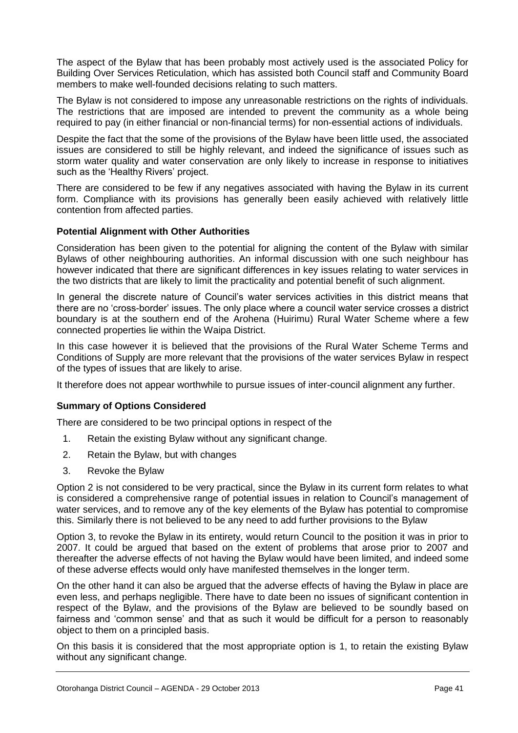The aspect of the Bylaw that has been probably most actively used is the associated Policy for Building Over Services Reticulation, which has assisted both Council staff and Community Board members to make well-founded decisions relating to such matters.

The Bylaw is not considered to impose any unreasonable restrictions on the rights of individuals. The restrictions that are imposed are intended to prevent the community as a whole being required to pay (in either financial or non-financial terms) for non-essential actions of individuals.

Despite the fact that the some of the provisions of the Bylaw have been little used, the associated issues are considered to still be highly relevant, and indeed the significance of issues such as storm water quality and water conservation are only likely to increase in response to initiatives such as the 'Healthy Rivers' project.

There are considered to be few if any negatives associated with having the Bylaw in its current form. Compliance with its provisions has generally been easily achieved with relatively little contention from affected parties.

#### **Potential Alignment with Other Authorities**

Consideration has been given to the potential for aligning the content of the Bylaw with similar Bylaws of other neighbouring authorities. An informal discussion with one such neighbour has however indicated that there are significant differences in key issues relating to water services in the two districts that are likely to limit the practicality and potential benefit of such alignment.

In general the discrete nature of Council's water services activities in this district means that there are no 'cross-border' issues. The only place where a council water service crosses a district boundary is at the southern end of the Arohena (Huirimu) Rural Water Scheme where a few connected properties lie within the Waipa District.

In this case however it is believed that the provisions of the Rural Water Scheme Terms and Conditions of Supply are more relevant that the provisions of the water services Bylaw in respect of the types of issues that are likely to arise.

It therefore does not appear worthwhile to pursue issues of inter-council alignment any further.

#### **Summary of Options Considered**

There are considered to be two principal options in respect of the

- 1. Retain the existing Bylaw without any significant change.
- 2. Retain the Bylaw, but with changes
- 3. Revoke the Bylaw

Option 2 is not considered to be very practical, since the Bylaw in its current form relates to what is considered a comprehensive range of potential issues in relation to Council's management of water services, and to remove any of the key elements of the Bylaw has potential to compromise this. Similarly there is not believed to be any need to add further provisions to the Bylaw

Option 3, to revoke the Bylaw in its entirety, would return Council to the position it was in prior to 2007. It could be argued that based on the extent of problems that arose prior to 2007 and thereafter the adverse effects of not having the Bylaw would have been limited, and indeed some of these adverse effects would only have manifested themselves in the longer term.

On the other hand it can also be argued that the adverse effects of having the Bylaw in place are even less, and perhaps negligible. There have to date been no issues of significant contention in respect of the Bylaw, and the provisions of the Bylaw are believed to be soundly based on fairness and 'common sense' and that as such it would be difficult for a person to reasonably object to them on a principled basis.

On this basis it is considered that the most appropriate option is 1, to retain the existing Bylaw without any significant change.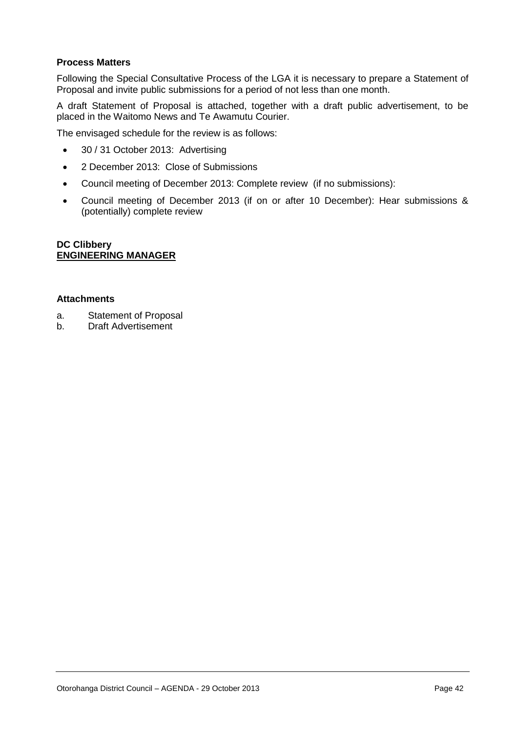#### **Process Matters**

Following the Special Consultative Process of the LGA it is necessary to prepare a Statement of Proposal and invite public submissions for a period of not less than one month.

A draft Statement of Proposal is attached, together with a draft public advertisement, to be placed in the Waitomo News and Te Awamutu Courier.

The envisaged schedule for the review is as follows:

- 30 / 31 October 2013: Advertising
- 2 December 2013: Close of Submissions
- Council meeting of December 2013: Complete review (if no submissions):
- Council meeting of December 2013 (if on or after 10 December): Hear submissions & (potentially) complete review

#### **DC Clibbery ENGINEERING MANAGER**

#### **Attachments**

- a. Statement of Proposal
- b. Draft Advertisement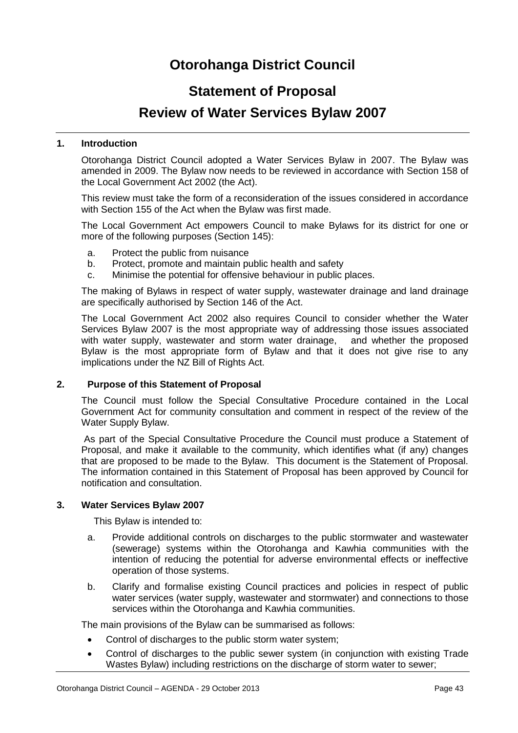### **Otorohanga District Council**

#### **Statement of Proposal**

#### **Review of Water Services Bylaw 2007**

#### **1. Introduction**

Otorohanga District Council adopted a Water Services Bylaw in 2007. The Bylaw was amended in 2009. The Bylaw now needs to be reviewed in accordance with Section 158 of the Local Government Act 2002 (the Act).

This review must take the form of a reconsideration of the issues considered in accordance with Section 155 of the Act when the Bylaw was first made.

The Local Government Act empowers Council to make Bylaws for its district for one or more of the following purposes (Section 145):

- a. Protect the public from nuisance
- b. Protect, promote and maintain public health and safety
- c. Minimise the potential for offensive behaviour in public places.

The making of Bylaws in respect of water supply, wastewater drainage and land drainage are specifically authorised by Section 146 of the Act.

The Local Government Act 2002 also requires Council to consider whether the Water Services Bylaw 2007 is the most appropriate way of addressing those issues associated with water supply, wastewater and storm water drainage, and whether the proposed Bylaw is the most appropriate form of Bylaw and that it does not give rise to any implications under the NZ Bill of Rights Act.

#### **2. Purpose of this Statement of Proposal**

The Council must follow the Special Consultative Procedure contained in the Local Government Act for community consultation and comment in respect of the review of the Water Supply Bylaw.

As part of the Special Consultative Procedure the Council must produce a Statement of Proposal, and make it available to the community, which identifies what (if any) changes that are proposed to be made to the Bylaw. This document is the Statement of Proposal. The information contained in this Statement of Proposal has been approved by Council for notification and consultation.

#### **3. Water Services Bylaw 2007**

This Bylaw is intended to:

- a. Provide additional controls on discharges to the public stormwater and wastewater (sewerage) systems within the Otorohanga and Kawhia communities with the intention of reducing the potential for adverse environmental effects or ineffective operation of those systems.
- b. Clarify and formalise existing Council practices and policies in respect of public water services (water supply, wastewater and stormwater) and connections to those services within the Otorohanga and Kawhia communities.

The main provisions of the Bylaw can be summarised as follows:

- Control of discharges to the public storm water system;
- Control of discharges to the public sewer system (in conjunction with existing Trade Wastes Bylaw) including restrictions on the discharge of storm water to sewer;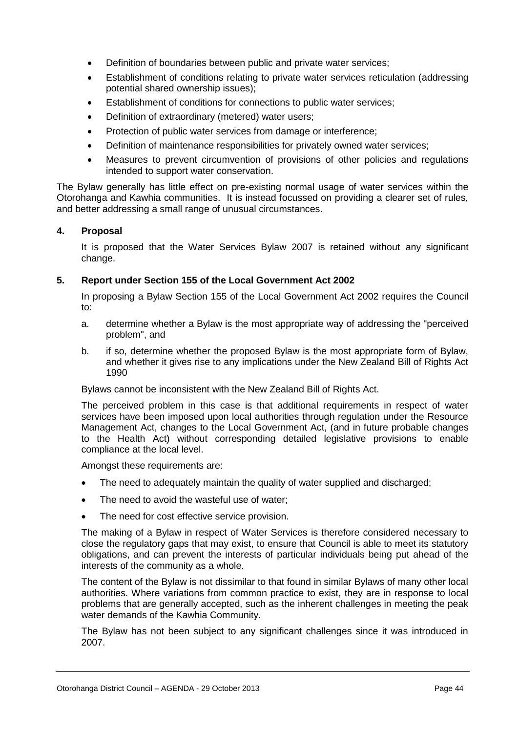- Definition of boundaries between public and private water services;
- Establishment of conditions relating to private water services reticulation (addressing potential shared ownership issues);
- Establishment of conditions for connections to public water services;
- Definition of extraordinary (metered) water users;
- Protection of public water services from damage or interference;
- Definition of maintenance responsibilities for privately owned water services;
- Measures to prevent circumvention of provisions of other policies and regulations intended to support water conservation.

The Bylaw generally has little effect on pre-existing normal usage of water services within the Otorohanga and Kawhia communities. It is instead focussed on providing a clearer set of rules, and better addressing a small range of unusual circumstances.

#### **4. Proposal**

It is proposed that the Water Services Bylaw 2007 is retained without any significant change.

#### **5. Report under Section 155 of the Local Government Act 2002**

In proposing a Bylaw Section 155 of the Local Government Act 2002 requires the Council to:

- a. determine whether a Bylaw is the most appropriate way of addressing the "perceived problem", and
- b. if so, determine whether the proposed Bylaw is the most appropriate form of Bylaw, and whether it gives rise to any implications under the New Zealand Bill of Rights Act 1990

Bylaws cannot be inconsistent with the New Zealand Bill of Rights Act.

The perceived problem in this case is that additional requirements in respect of water services have been imposed upon local authorities through regulation under the Resource Management Act, changes to the Local Government Act, (and in future probable changes to the Health Act) without corresponding detailed legislative provisions to enable compliance at the local level.

Amongst these requirements are:

- The need to adequately maintain the quality of water supplied and discharged;
- The need to avoid the wasteful use of water;
- The need for cost effective service provision.

The making of a Bylaw in respect of Water Services is therefore considered necessary to close the regulatory gaps that may exist, to ensure that Council is able to meet its statutory obligations, and can prevent the interests of particular individuals being put ahead of the interests of the community as a whole.

The content of the Bylaw is not dissimilar to that found in similar Bylaws of many other local authorities. Where variations from common practice to exist, they are in response to local problems that are generally accepted, such as the inherent challenges in meeting the peak water demands of the Kawhia Community.

The Bylaw has not been subject to any significant challenges since it was introduced in 2007.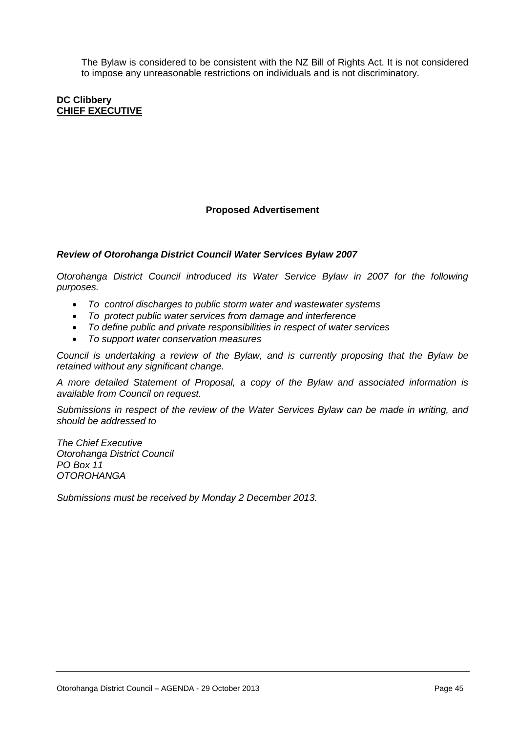The Bylaw is considered to be consistent with the NZ Bill of Rights Act. It is not considered to impose any unreasonable restrictions on individuals and is not discriminatory.

#### **DC Clibbery CHIEF EXECUTIVE**

#### **Proposed Advertisement**

#### *Review of Otorohanga District Council Water Services Bylaw 2007*

*Otorohanga District Council introduced its Water Service Bylaw in 2007 for the following purposes.*

- *To control discharges to public storm water and wastewater systems*
- *To protect public water services from damage and interference*
- *To define public and private responsibilities in respect of water services*
- *To support water conservation measures*

*Council is undertaking a review of the Bylaw, and is currently proposing that the Bylaw be retained without any significant change.*

*A more detailed Statement of Proposal, a copy of the Bylaw and associated information is available from Council on request.*

*Submissions in respect of the review of the Water Services Bylaw can be made in writing, and should be addressed to*

*The Chief Executive Otorohanga District Council PO Box 11 OTOROHANGA*

*Submissions must be received by Monday 2 December 2013.*